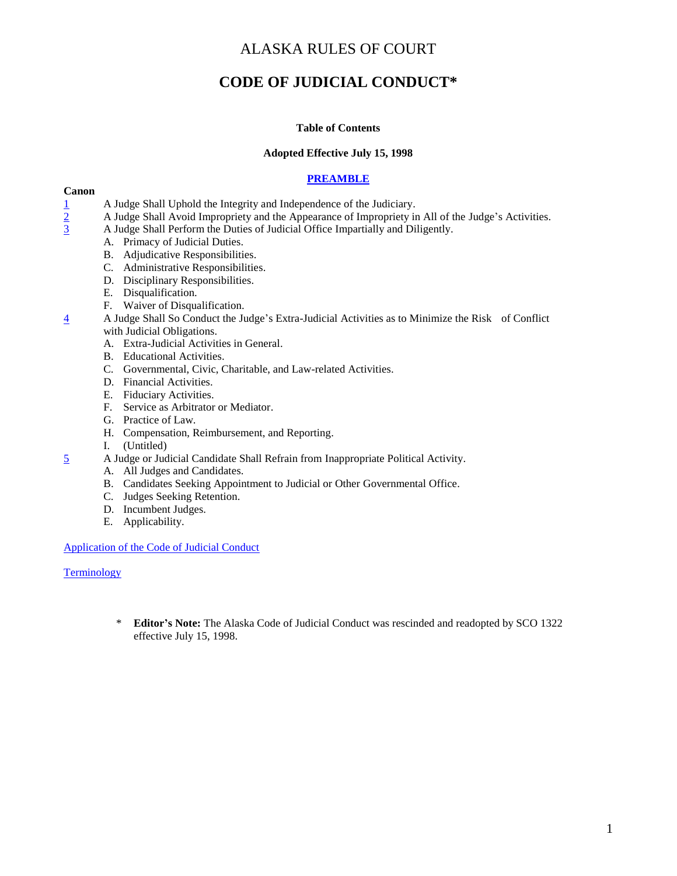## ALASKA RULES OF COURT

## **CODE OF JUDICIAL CONDUCT\***

#### **Table of Contents**

### **Adopted Effective July 15, 1998**

### **[PREAMBLE](#page-1-0)**

#### **Canon**

- 
- $\frac{1}{2}$  A Judge Shall Uphold the Integrity and Independence of the Judiciary.<br>A Judge Shall Avoid Impropriety and the Appearance of Impropriety in A Judge Shall Perform the Duties of Judicial Office Impartially and Di [2](#page-1-2) A Judge Shall Avoid Impropriety and the Appearance of Impropriety in All of the Judge's Activities.
- [3](#page-3-0) A Judge Shall Perform the Duties of Judicial Office Impartially and Diligently.
	- A. Primacy of Judicial Duties.
	- B. Adjudicative Responsibilities.
	- C. Administrative Responsibilities.
	- D. Disciplinary Responsibilities.
	- E. Disqualification.
	- F. Waiver of Disqualification.
- [4](#page-10-0) A Judge Shall So Conduct the Judge's Extra-Judicial Activities as to Minimize the Risk of Conflict with Judicial Obligations.
	- A. Extra-Judicial Activities in General.
	- B. Educational Activities.
	- C. Governmental, Civic, Charitable, and Law-related Activities.
	- D. Financial Activities.
	- E. Fiduciary Activities.
	- F. Service as Arbitrator or Mediator.
	- G. Practice of Law.
	- H. Compensation, Reimbursement, and Reporting.
	- I. (Untitled)
- [5](#page-15-0) A Judge or Judicial Candidate Shall Refrain from Inappropriate Political Activity.
	- A. All Judges and Candidates.
	- B. Candidates Seeking Appointment to Judicial or Other Governmental Office.
	- C. Judges Seeking Retention.
	- D. Incumbent Judges.
	- E. Applicability.

### [Application of the Code of Judicial Conduct](#page-19-0)

#### **[Terminology](#page-21-0)**

\* **Editor's Note:** The Alaska Code of Judicial Conduct was rescinded and readopted by SCO 1322 effective July 15, 1998.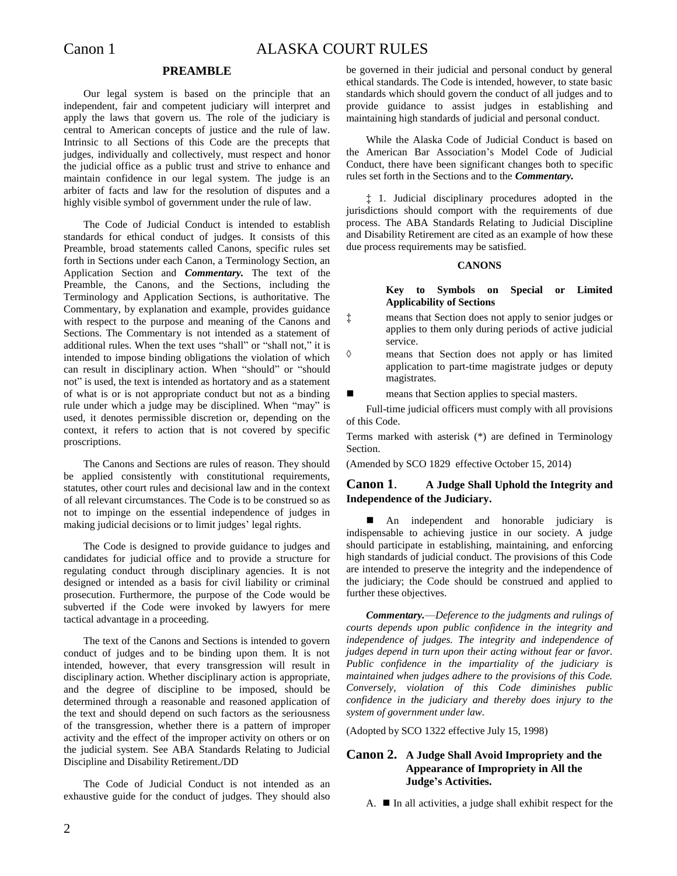#### **PREAMBLE**

<span id="page-1-0"></span>Our legal system is based on the principle that an independent, fair and competent judiciary will interpret and apply the laws that govern us. The role of the judiciary is central to American concepts of justice and the rule of law. Intrinsic to all Sections of this Code are the precepts that judges, individually and collectively, must respect and honor the judicial office as a public trust and strive to enhance and maintain confidence in our legal system. The judge is an arbiter of facts and law for the resolution of disputes and a highly visible symbol of government under the rule of law.

The Code of Judicial Conduct is intended to establish standards for ethical conduct of judges. It consists of this Preamble, broad statements called Canons, specific rules set forth in Sections under each Canon, a Terminology Section, an Application Section and *Commentary.* The text of the Preamble, the Canons, and the Sections, including the Terminology and Application Sections, is authoritative. The Commentary, by explanation and example, provides guidance with respect to the purpose and meaning of the Canons and Sections. The Commentary is not intended as a statement of additional rules. When the text uses "shall" or "shall not," it is intended to impose binding obligations the violation of which can result in disciplinary action. When "should" or "should not" is used, the text is intended as hortatory and as a statement of what is or is not appropriate conduct but not as a binding rule under which a judge may be disciplined. When "may" is used, it denotes permissible discretion or, depending on the context, it refers to action that is not covered by specific proscriptions.

The Canons and Sections are rules of reason. They should be applied consistently with constitutional requirements, statutes, other court rules and decisional law and in the context of all relevant circumstances. The Code is to be construed so as not to impinge on the essential independence of judges in making judicial decisions or to limit judges' legal rights.

The Code is designed to provide guidance to judges and candidates for judicial office and to provide a structure for regulating conduct through disciplinary agencies. It is not designed or intended as a basis for civil liability or criminal prosecution. Furthermore, the purpose of the Code would be subverted if the Code were invoked by lawyers for mere tactical advantage in a proceeding.

The text of the Canons and Sections is intended to govern conduct of judges and to be binding upon them. It is not intended, however, that every transgression will result in disciplinary action. Whether disciplinary action is appropriate, and the degree of discipline to be imposed, should be determined through a reasonable and reasoned application of the text and should depend on such factors as the seriousness of the transgression, whether there is a pattern of improper activity and the effect of the improper activity on others or on the judicial system. See ABA Standards Relating to Judicial Discipline and Disability Retirement./DD

The Code of Judicial Conduct is not intended as an exhaustive guide for the conduct of judges. They should also be governed in their judicial and personal conduct by general ethical standards. The Code is intended, however, to state basic standards which should govern the conduct of all judges and to provide guidance to assist judges in establishing and maintaining high standards of judicial and personal conduct.

While the Alaska Code of Judicial Conduct is based on the American Bar Association's Model Code of Judicial Conduct, there have been significant changes both to specific rules set forth in the Sections and to the *Commentary.* 

‡ 1. Judicial disciplinary procedures adopted in the jurisdictions should comport with the requirements of due process. The ABA Standards Relating to Judicial Discipline and Disability Retirement are cited as an example of how these due process requirements may be satisfied.

#### **CANONS**

#### **Key to Symbols on Special or Limited Applicability of Sections**

- ‡ means that Section does not apply to senior judges or applies to them only during periods of active judicial service.
- means that Section does not apply or has limited application to part-time magistrate judges or deputy magistrates.
- means that Section applies to special masters.

Full-time judicial officers must comply with all provisions of this Code.

Terms marked with asterisk (\*) are defined in Terminology Section.

(Amended by SCO 1829 effective October 15, 2014)

#### <span id="page-1-1"></span>**Canon 1**. **A Judge Shall Uphold the Integrity and Independence of the Judiciary.**

 An independent and honorable judiciary is indispensable to achieving justice in our society. A judge should participate in establishing, maintaining, and enforcing high standards of judicial conduct. The provisions of this Code are intended to preserve the integrity and the independence of the judiciary; the Code should be construed and applied to further these objectives.

*Commentary.*—*Deference to the judgments and rulings of courts depends upon public confidence in the integrity and*  independence of judges. The integrity and independence of *judges depend in turn upon their acting without fear or favor. Public confidence in the impartiality of the judiciary is maintained when judges adhere to the provisions of this Code. Conversely, violation of this Code diminishes public confidence in the judiciary and thereby does injury to the system of government under law.*

<span id="page-1-2"></span>(Adopted by SCO 1322 effective July 15, 1998)

#### **Canon 2. A Judge Shall Avoid Impropriety and the Appearance of Impropriety in All the Judge's Activities.**

A.  $\blacksquare$  In all activities, a judge shall exhibit respect for the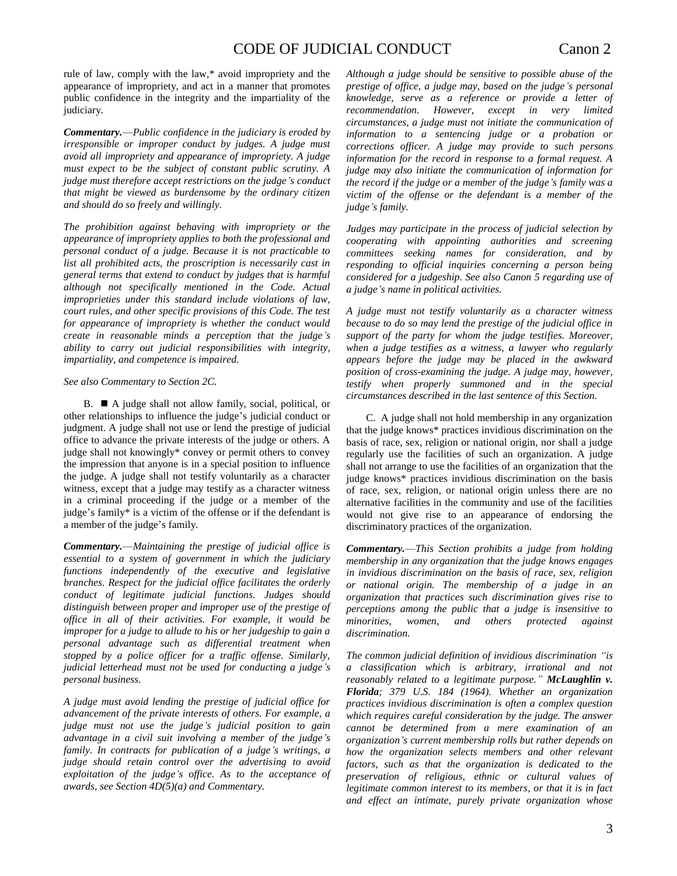rule of law, comply with the law,\* avoid impropriety and the appearance of impropriety, and act in a manner that promotes public confidence in the integrity and the impartiality of the judiciary.

*Commentary.*—*Public confidence in the judiciary is eroded by irresponsible or improper conduct by judges. A judge must avoid all impropriety and appearance of impropriety. A judge must expect to be the subject of constant public scrutiny. A judge must therefore accept restrictions on the judge's conduct that might be viewed as burdensome by the ordinary citizen and should do so freely and willingly.* 

*The prohibition against behaving with impropriety or the appearance of impropriety applies to both the professional and personal conduct of a judge. Because it is not practicable to list all prohibited acts, the proscription is necessarily cast in general terms that extend to conduct by judges that is harmful although not specifically mentioned in the Code. Actual improprieties under this standard include violations of law, court rules, and other specific provisions of this Code. The test for appearance of impropriety is whether the conduct would create in reasonable minds a perception that the judge's ability to carry out judicial responsibilities with integrity, impartiality, and competence is impaired.* 

#### *See also Commentary to Section 2C.*

 $B. \blacksquare$  A judge shall not allow family, social, political, or other relationships to influence the judge's judicial conduct or judgment. A judge shall not use or lend the prestige of judicial office to advance the private interests of the judge or others. A judge shall not knowingly\* convey or permit others to convey the impression that anyone is in a special position to influence the judge. A judge shall not testify voluntarily as a character witness, except that a judge may testify as a character witness in a criminal proceeding if the judge or a member of the judge's family\* is a victim of the offense or if the defendant is a member of the judge's family.

*Commentary.*—*Maintaining the prestige of judicial office is essential to a system of government in which the judiciary functions independently of the executive and legislative branches. Respect for the judicial office facilitates the orderly conduct of legitimate judicial functions. Judges should distinguish between proper and improper use of the prestige of office in all of their activities. For example, it would be improper for a judge to allude to his or her judgeship to gain a personal advantage such as differential treatment when stopped by a police officer for a traffic offense. Similarly, judicial letterhead must not be used for conducting a judge's personal business.*

*A judge must avoid lending the prestige of judicial office for advancement of the private interests of others. For example, a judge must not use the judge's judicial position to gain advantage in a civil suit involving a member of the judge's family. In contracts for publication of a judge's writings, a judge should retain control over the advertising to avoid exploitation of the judge's office. As to the acceptance of awards, see Section 4D(5)(a) and Commentary.*

*Although a judge should be sensitive to possible abuse of the prestige of office, a judge may, based on the judge's personal knowledge, serve as a reference or provide a letter of recommendation. However, except in very limited circumstances, a judge must not initiate the communication of information to a sentencing judge or a probation or corrections officer. A judge may provide to such persons information for the record in response to a formal request. A judge may also initiate the communication of information for the record if the judge or a member of the judge's family was a victim of the offense or the defendant is a member of the judge's family.*

*Judges may participate in the process of judicial selection by cooperating with appointing authorities and screening committees seeking names for consideration, and by responding to official inquiries concerning a person being considered for a judgeship. See also Canon 5 regarding use of a judge's name in political activities.*

*A judge must not testify voluntarily as a character witness because to do so may lend the prestige of the judicial office in support of the party for whom the judge testifies. Moreover, when a judge testifies as a witness, a lawyer who regularly appears before the judge may be placed in the awkward position of cross-examining the judge. A judge may, however, testify when properly summoned and in the special circumstances described in the last sentence of this Section.* 

C. A judge shall not hold membership in any organization that the judge knows\* practices invidious discrimination on the basis of race, sex, religion or national origin, nor shall a judge regularly use the facilities of such an organization. A judge shall not arrange to use the facilities of an organization that the judge knows\* practices invidious discrimination on the basis of race, sex, religion, or national origin unless there are no alternative facilities in the community and use of the facilities would not give rise to an appearance of endorsing the discriminatory practices of the organization.

*Commentary.*—*This Section prohibits a judge from holding membership in any organization that the judge knows engages in invidious discrimination on the basis of race, sex, religion or national origin. The membership of a judge in an organization that practices such discrimination gives rise to perceptions among the public that a judge is insensitive to minorities, women, and others protected against discrimination.*

*The common judicial definition of invidious discrimination "is a classification which is arbitrary, irrational and not reasonably related to a legitimate purpose." McLaughlin v. Florida; 379 U.S. 184 (1964). Whether an organization practices invidious discrimination is often a complex question which requires careful consideration by the judge. The answer cannot be determined from a mere examination of an organization's current membership rolls but rather depends on how the organization selects members and other relevant factors, such as that the organization is dedicated to the preservation of religious, ethnic or cultural values of legitimate common interest to its members, or that it is in fact and effect an intimate, purely private organization whose*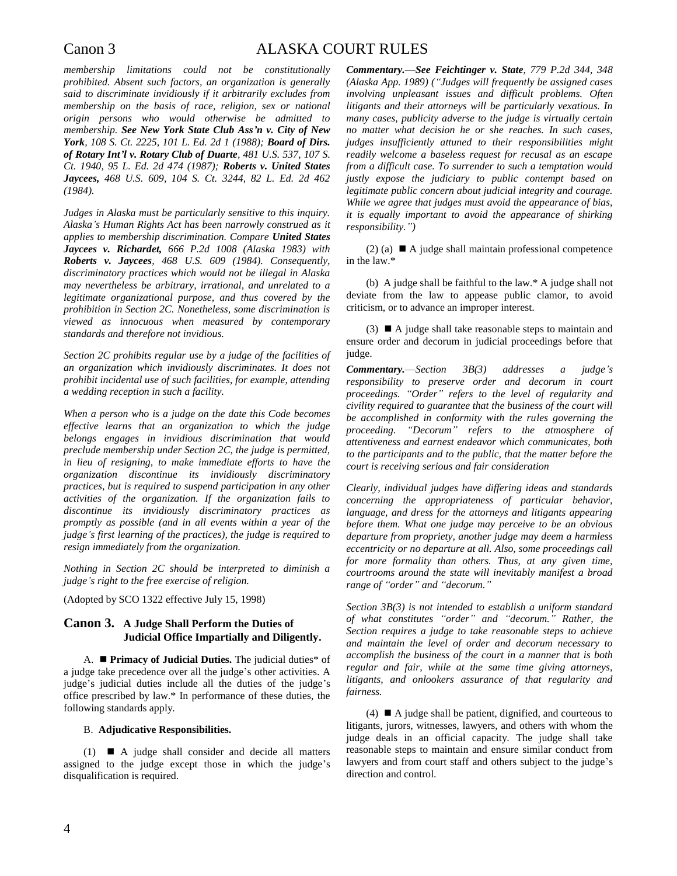*membership limitations could not be constitutionally prohibited. Absent such factors, an organization is generally said to discriminate invidiously if it arbitrarily excludes from membership on the basis of race, religion, sex or national origin persons who would otherwise be admitted to membership. See New York State Club Ass'n v. City of New York, 108 S. Ct. 2225, 101 L. Ed. 2d 1 (1988); Board of Dirs. of Rotary Int'l v. Rotary Club of Duarte, 481 U.S. 537, 107 S. Ct. 1940, 95 L. Ed. 2d 474 (1987); Roberts v. United States Jaycees, 468 U.S. 609, 104 S. Ct. 3244, 82 L. Ed. 2d 462 (1984).*

*Judges in Alaska must be particularly sensitive to this inquiry. Alaska's Human Rights Act has been narrowly construed as it applies to membership discrimination. Compare United States Jaycees v. Richardet, 666 P.2d 1008 (Alaska 1983) with Roberts v. Jaycees, 468 U.S. 609 (1984). Consequently, discriminatory practices which would not be illegal in Alaska may nevertheless be arbitrary, irrational, and unrelated to a legitimate organizational purpose, and thus covered by the prohibition in Section 2C. Nonetheless, some discrimination is viewed as innocuous when measured by contemporary standards and therefore not invidious.*

*Section 2C prohibits regular use by a judge of the facilities of an organization which invidiously discriminates. It does not prohibit incidental use of such facilities, for example, attending a wedding reception in such a facility.*

*When a person who is a judge on the date this Code becomes effective learns that an organization to which the judge belongs engages in invidious discrimination that would preclude membership under Section 2C, the judge is permitted, in lieu of resigning, to make immediate efforts to have the organization discontinue its invidiously discriminatory practices, but is required to suspend participation in any other activities of the organization. If the organization fails to discontinue its invidiously discriminatory practices as promptly as possible (and in all events within a year of the judge's first learning of the practices), the judge is required to resign immediately from the organization.*

*Nothing in Section 2C should be interpreted to diminish a judge's right to the free exercise of religion.* 

<span id="page-3-0"></span>(Adopted by SCO 1322 effective July 15, 1998)

#### **Canon 3. A Judge Shall Perform the Duties of Judicial Office Impartially and Diligently.**

A. **Primacy of Judicial Duties.** The judicial duties\* of a judge take precedence over all the judge's other activities. A judge's judicial duties include all the duties of the judge's office prescribed by law.\* In performance of these duties, the following standards apply.

#### B. **Adjudicative Responsibilities.**

(1)  $\blacksquare$  A judge shall consider and decide all matters assigned to the judge except those in which the judge's disqualification is required.

*Commentary.*—*See Feichtinger v. State, 779 P.2d 344, 348 (Alaska App. 1989) ("Judges will frequently be assigned cases involving unpleasant issues and difficult problems. Often litigants and their attorneys will be particularly vexatious. In many cases, publicity adverse to the judge is virtually certain no matter what decision he or she reaches. In such cases, judges insufficiently attuned to their responsibilities might readily welcome a baseless request for recusal as an escape from a difficult case. To surrender to such a temptation would justly expose the judiciary to public contempt based on legitimate public concern about judicial integrity and courage. While we agree that judges must avoid the appearance of bias, it is equally important to avoid the appearance of shirking responsibility.")*

(2) (a)  $\blacksquare$  A judge shall maintain professional competence in the law.\*

(b) A judge shall be faithful to the law.\* A judge shall not deviate from the law to appease public clamor, to avoid criticism, or to advance an improper interest.

(3)  $\blacksquare$  A judge shall take reasonable steps to maintain and ensure order and decorum in judicial proceedings before that judge.

*Commentary.*—*Section 3B(3) addresses a judge's responsibility to preserve order and decorum in court proceedings. "Order" refers to the level of regularity and civility required to guarantee that the business of the court will be accomplished in conformity with the rules governing the proceeding. "Decorum" refers to the atmosphere of attentiveness and earnest endeavor which communicates, both to the participants and to the public, that the matter before the court is receiving serious and fair consideration*

*Clearly, individual judges have differing ideas and standards concerning the appropriateness of particular behavior, language, and dress for the attorneys and litigants appearing before them. What one judge may perceive to be an obvious departure from propriety, another judge may deem a harmless eccentricity or no departure at all. Also, some proceedings call for more formality than others. Thus, at any given time, courtrooms around the state will inevitably manifest a broad range of "order" and "decorum."*

*Section 3B(3) is not intended to establish a uniform standard of what constitutes "order" and "decorum." Rather, the Section requires a judge to take reasonable steps to achieve and maintain the level of order and decorum necessary to accomplish the business of the court in a manner that is both regular and fair, while at the same time giving attorneys, litigants, and onlookers assurance of that regularity and fairness.* 

(4)  $\blacksquare$  A judge shall be patient, dignified, and courteous to litigants, jurors, witnesses, lawyers, and others with whom the judge deals in an official capacity. The judge shall take reasonable steps to maintain and ensure similar conduct from lawyers and from court staff and others subject to the judge's direction and control.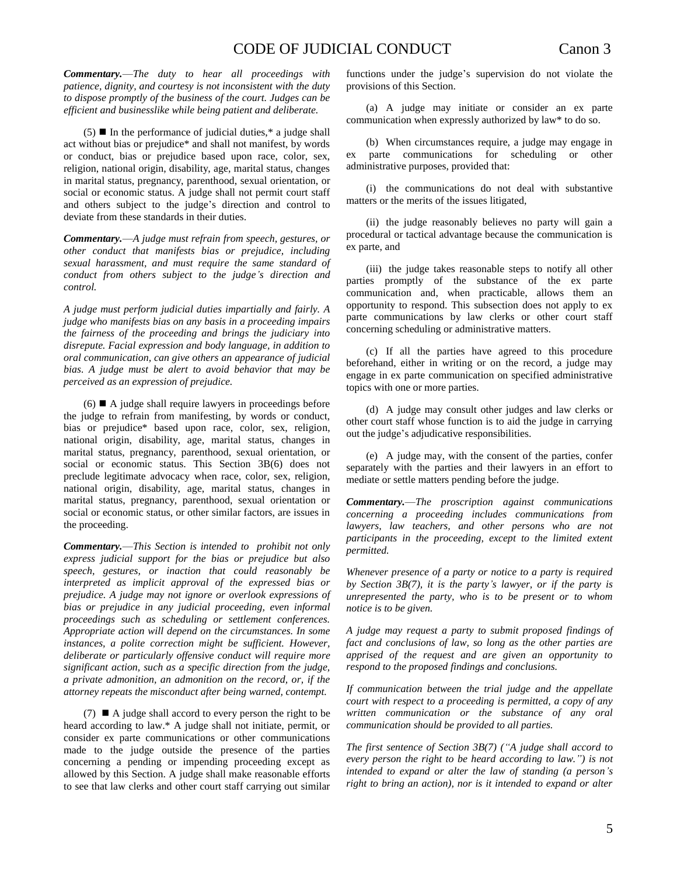*Commentary.*—*The duty to hear all proceedings with patience, dignity, and courtesy is not inconsistent with the duty to dispose promptly of the business of the court. Judges can be efficient and businesslike while being patient and deliberate.* 

(5)  $\blacksquare$  In the performance of judicial duties,\* a judge shall act without bias or prejudice\* and shall not manifest, by words or conduct, bias or prejudice based upon race, color, sex, religion, national origin, disability, age, marital status, changes in marital status, pregnancy, parenthood, sexual orientation, or social or economic status. A judge shall not permit court staff and others subject to the judge's direction and control to deviate from these standards in their duties.

*Commentary.*—*A judge must refrain from speech, gestures, or other conduct that manifests bias or prejudice, including sexual harassment, and must require the same standard of conduct from others subject to the judge's direction and control.*

*A judge must perform judicial duties impartially and fairly. A judge who manifests bias on any basis in a proceeding impairs the fairness of the proceeding and brings the judiciary into disrepute. Facial expression and body language, in addition to oral communication, can give others an appearance of judicial bias. A judge must be alert to avoid behavior that may be perceived as an expression of prejudice.* 

(6)  $\blacksquare$  A judge shall require lawyers in proceedings before the judge to refrain from manifesting, by words or conduct, bias or prejudice\* based upon race, color, sex, religion, national origin, disability, age, marital status, changes in marital status, pregnancy, parenthood, sexual orientation, or social or economic status. This Section 3B(6) does not preclude legitimate advocacy when race, color, sex, religion, national origin, disability, age, marital status, changes in marital status, pregnancy, parenthood, sexual orientation or social or economic status, or other similar factors, are issues in the proceeding.

*Commentary.*—*This Section is intended to prohibit not only express judicial support for the bias or prejudice but also speech, gestures, or inaction that could reasonably be interpreted as implicit approval of the expressed bias or prejudice. A judge may not ignore or overlook expressions of bias or prejudice in any judicial proceeding, even informal proceedings such as scheduling or settlement conferences. Appropriate action will depend on the circumstances. In some instances, a polite correction might be sufficient. However, deliberate or particularly offensive conduct will require more significant action, such as a specific direction from the judge, a private admonition, an admonition on the record, or, if the attorney repeats the misconduct after being warned, contempt.* 

(7)  $\blacksquare$  A judge shall accord to every person the right to be heard according to law.\* A judge shall not initiate, permit, or consider ex parte communications or other communications made to the judge outside the presence of the parties concerning a pending or impending proceeding except as allowed by this Section. A judge shall make reasonable efforts to see that law clerks and other court staff carrying out similar

functions under the judge's supervision do not violate the provisions of this Section.

(a) A judge may initiate or consider an ex parte communication when expressly authorized by law\* to do so.

(b) When circumstances require, a judge may engage in ex parte communications for scheduling or other administrative purposes, provided that:

(i) the communications do not deal with substantive matters or the merits of the issues litigated,

(ii) the judge reasonably believes no party will gain a procedural or tactical advantage because the communication is ex parte, and

(iii) the judge takes reasonable steps to notify all other parties promptly of the substance of the ex parte communication and, when practicable, allows them an opportunity to respond. This subsection does not apply to ex parte communications by law clerks or other court staff concerning scheduling or administrative matters.

(c) If all the parties have agreed to this procedure beforehand, either in writing or on the record, a judge may engage in ex parte communication on specified administrative topics with one or more parties.

(d) A judge may consult other judges and law clerks or other court staff whose function is to aid the judge in carrying out the judge's adjudicative responsibilities.

(e) A judge may, with the consent of the parties, confer separately with the parties and their lawyers in an effort to mediate or settle matters pending before the judge.

*Commentary.*—*The proscription against communications concerning a proceeding includes communications from lawyers, law teachers, and other persons who are not participants in the proceeding, except to the limited extent permitted.*

*Whenever presence of a party or notice to a party is required by Section 3B(7), it is the party's lawyer, or if the party is unrepresented the party, who is to be present or to whom notice is to be given.*

*A judge may request a party to submit proposed findings of fact and conclusions of law, so long as the other parties are apprised of the request and are given an opportunity to respond to the proposed findings and conclusions.*

*If communication between the trial judge and the appellate court with respect to a proceeding is permitted, a copy of any written communication or the substance of any oral communication should be provided to all parties.*

*The first sentence of Section 3B(7) ("A judge shall accord to every person the right to be heard according to law.") is not intended to expand or alter the law of standing (a person's right to bring an action), nor is it intended to expand or alter*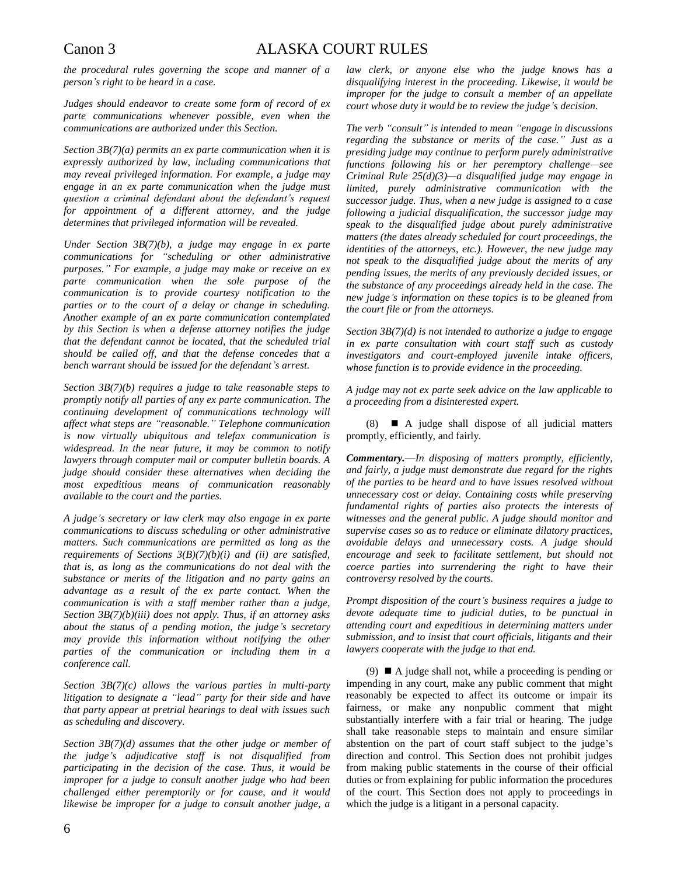*the procedural rules governing the scope and manner of a person's right to be heard in a case.*

*Judges should endeavor to create some form of record of ex parte communications whenever possible, even when the communications are authorized under this Section.*

*Section 3B(7)(a) permits an ex parte communication when it is expressly authorized by law, including communications that may reveal privileged information. For example, a judge may engage in an ex parte communication when the judge must question a criminal defendant about the defendant's request for appointment of a different attorney, and the judge determines that privileged information will be revealed.*

*Under Section 3B(7)(b), a judge may engage in ex parte communications for "scheduling or other administrative purposes." For example, a judge may make or receive an ex parte communication when the sole purpose of the communication is to provide courtesy notification to the parties or to the court of a delay or change in scheduling. Another example of an ex parte communication contemplated by this Section is when a defense attorney notifies the judge that the defendant cannot be located, that the scheduled trial should be called off, and that the defense concedes that a bench warrant should be issued for the defendant's arrest.*

*Section 3B(7)(b) requires a judge to take reasonable steps to promptly notify all parties of any ex parte communication. The continuing development of communications technology will affect what steps are "reasonable." Telephone communication is now virtually ubiquitous and telefax communication is widespread. In the near future, it may be common to notify lawyers through computer mail or computer bulletin boards. A judge should consider these alternatives when deciding the most expeditious means of communication reasonably available to the court and the parties.*

*A judge's secretary or law clerk may also engage in ex parte communications to discuss scheduling or other administrative matters. Such communications are permitted as long as the requirements of Sections 3(B)(7)(b)(i) and (ii) are satisfied, that is, as long as the communications do not deal with the substance or merits of the litigation and no party gains an advantage as a result of the ex parte contact. When the communication is with a staff member rather than a judge, Section 3B(7)(b)(iii) does not apply. Thus, if an attorney asks about the status of a pending motion, the judge's secretary may provide this information without notifying the other parties of the communication or including them in a conference call.*

*Section 3B(7)(c) allows the various parties in multi-party litigation to designate a "lead" party for their side and have that party appear at pretrial hearings to deal with issues such as scheduling and discovery.*

*Section 3B(7)(d) assumes that the other judge or member of the judge's adjudicative staff is not disqualified from participating in the decision of the case. Thus, it would be improper for a judge to consult another judge who had been challenged either peremptorily or for cause, and it would likewise be improper for a judge to consult another judge, a*  *law clerk, or anyone else who the judge knows has a disqualifying interest in the proceeding. Likewise, it would be improper for the judge to consult a member of an appellate court whose duty it would be to review the judge's decision.*

*The verb "consult" is intended to mean "engage in discussions regarding the substance or merits of the case." Just as a presiding judge may continue to perform purely administrative functions following his or her peremptory challenge—see Criminal Rule 25(d)(3)—a disqualified judge may engage in limited, purely administrative communication with the successor judge. Thus, when a new judge is assigned to a case following a judicial disqualification, the successor judge may speak to the disqualified judge about purely administrative matters (the dates already scheduled for court proceedings, the identities of the attorneys, etc.). However, the new judge may not speak to the disqualified judge about the merits of any pending issues, the merits of any previously decided issues, or the substance of any proceedings already held in the case. The new judge's information on these topics is to be gleaned from the court file or from the attorneys.*

*Section 3B(7)(d) is not intended to authorize a judge to engage in ex parte consultation with court staff such as custody investigators and court-employed juvenile intake officers, whose function is to provide evidence in the proceeding.*

*A judge may not ex parte seek advice on the law applicable to a proceeding from a disinterested expert.* 

(8)  $\blacksquare$  A judge shall dispose of all judicial matters promptly, efficiently, and fairly.

*Commentary.*—*In disposing of matters promptly, efficiently, and fairly, a judge must demonstrate due regard for the rights of the parties to be heard and to have issues resolved without unnecessary cost or delay. Containing costs while preserving fundamental rights of parties also protects the interests of witnesses and the general public. A judge should monitor and supervise cases so as to reduce or eliminate dilatory practices, avoidable delays and unnecessary costs. A judge should encourage and seek to facilitate settlement, but should not coerce parties into surrendering the right to have their controversy resolved by the courts.*

*Prompt disposition of the court's business requires a judge to devote adequate time to judicial duties, to be punctual in attending court and expeditious in determining matters under submission, and to insist that court officials, litigants and their lawyers cooperate with the judge to that end.* 

(9)  $\blacksquare$  A judge shall not, while a proceeding is pending or impending in any court, make any public comment that might reasonably be expected to affect its outcome or impair its fairness, or make any nonpublic comment that might substantially interfere with a fair trial or hearing. The judge shall take reasonable steps to maintain and ensure similar abstention on the part of court staff subject to the judge's direction and control. This Section does not prohibit judges from making public statements in the course of their official duties or from explaining for public information the procedures of the court. This Section does not apply to proceedings in which the judge is a litigant in a personal capacity.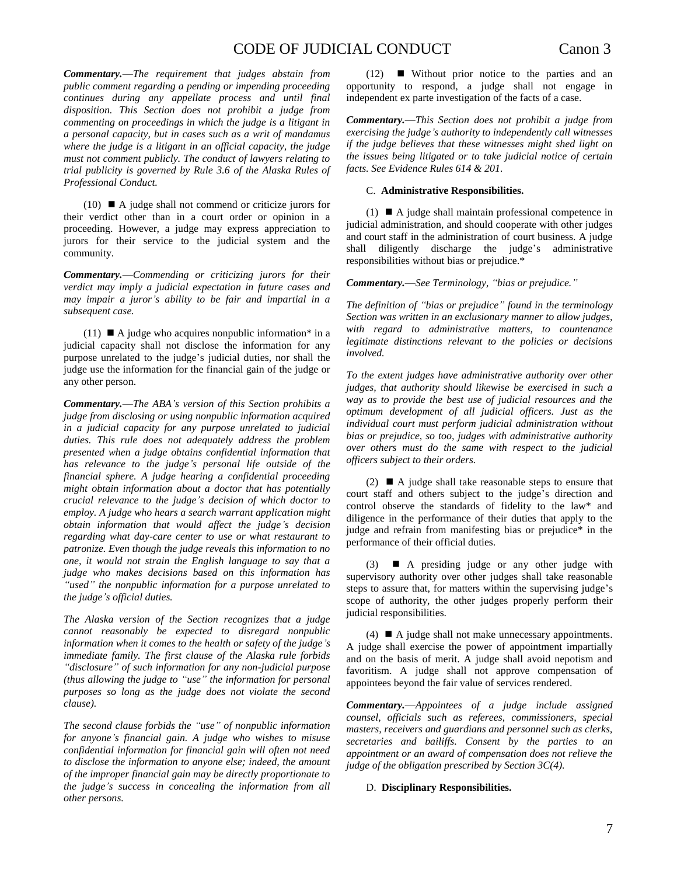## CODE OF JUDICIAL CONDUCT Canon 3

*Commentary.*—*The requirement that judges abstain from public comment regarding a pending or impending proceeding continues during any appellate process and until final disposition. This Section does not prohibit a judge from commenting on proceedings in which the judge is a litigant in a personal capacity, but in cases such as a writ of mandamus where the judge is a litigant in an official capacity, the judge must not comment publicly. The conduct of lawyers relating to trial publicity is governed by Rule 3.6 of the Alaska Rules of Professional Conduct.* 

(10)  $\blacksquare$  A judge shall not commend or criticize jurors for their verdict other than in a court order or opinion in a proceeding. However, a judge may express appreciation to jurors for their service to the judicial system and the community.

*Commentary.*—*Commending or criticizing jurors for their verdict may imply a judicial expectation in future cases and may impair a juror's ability to be fair and impartial in a subsequent case.* 

(11)  $\blacksquare$  A judge who acquires nonpublic information\* in a judicial capacity shall not disclose the information for any purpose unrelated to the judge's judicial duties, nor shall the judge use the information for the financial gain of the judge or any other person.

*Commentary.*—*The ABA's version of this Section prohibits a judge from disclosing or using nonpublic information acquired in a judicial capacity for any purpose unrelated to judicial duties. This rule does not adequately address the problem presented when a judge obtains confidential information that has relevance to the judge's personal life outside of the financial sphere. A judge hearing a confidential proceeding might obtain information about a doctor that has potentially crucial relevance to the judge's decision of which doctor to employ. A judge who hears a search warrant application might obtain information that would affect the judge's decision regarding what day-care center to use or what restaurant to patronize. Even though the judge reveals this information to no one, it would not strain the English language to say that a judge who makes decisions based on this information has "used" the nonpublic information for a purpose unrelated to the judge's official duties.*

*The Alaska version of the Section recognizes that a judge cannot reasonably be expected to disregard nonpublic information when it comes to the health or safety of the judge's immediate family. The first clause of the Alaska rule forbids "disclosure" of such information for any non-judicial purpose (thus allowing the judge to "use" the information for personal purposes so long as the judge does not violate the second clause).*

*The second clause forbids the "use" of nonpublic information for anyone's financial gain. A judge who wishes to misuse confidential information for financial gain will often not need to disclose the information to anyone else; indeed, the amount of the improper financial gain may be directly proportionate to the judge's success in concealing the information from all other persons.* 

 $(12)$  **Without prior notice to the parties and an** opportunity to respond, a judge shall not engage in independent ex parte investigation of the facts of a case.

*Commentary.*—*This Section does not prohibit a judge from exercising the judge's authority to independently call witnesses if the judge believes that these witnesses might shed light on the issues being litigated or to take judicial notice of certain facts. See Evidence Rules 614 & 201.* 

#### C. **Administrative Responsibilities.**

(1)  $\blacksquare$  A judge shall maintain professional competence in judicial administration, and should cooperate with other judges and court staff in the administration of court business. A judge shall diligently discharge the judge's administrative responsibilities without bias or prejudice.\*

#### *Commentary.*—*See Terminology, "bias or prejudice."*

*The definition of "bias or prejudice" found in the terminology Section was written in an exclusionary manner to allow judges, with regard to administrative matters, to countenance legitimate distinctions relevant to the policies or decisions involved.*

*To the extent judges have administrative authority over other judges, that authority should likewise be exercised in such a way as to provide the best use of judicial resources and the optimum development of all judicial officers. Just as the individual court must perform judicial administration without bias or prejudice, so too, judges with administrative authority over others must do the same with respect to the judicial officers subject to their orders.* 

(2)  $\blacksquare$  A judge shall take reasonable steps to ensure that court staff and others subject to the judge's direction and control observe the standards of fidelity to the law\* and diligence in the performance of their duties that apply to the judge and refrain from manifesting bias or prejudice\* in the performance of their official duties.

(3) A presiding judge or any other judge with supervisory authority over other judges shall take reasonable steps to assure that, for matters within the supervising judge's scope of authority, the other judges properly perform their judicial responsibilities.

(4)  $\blacksquare$  A judge shall not make unnecessary appointments. A judge shall exercise the power of appointment impartially and on the basis of merit. A judge shall avoid nepotism and favoritism. A judge shall not approve compensation of appointees beyond the fair value of services rendered.

*Commentary.*—*Appointees of a judge include assigned counsel, officials such as referees, commissioners, special masters, receivers and guardians and personnel such as clerks, secretaries and bailiffs. Consent by the parties to an appointment or an award of compensation does not relieve the judge of the obligation prescribed by Section 3C(4).* 

#### D. **Disciplinary Responsibilities.**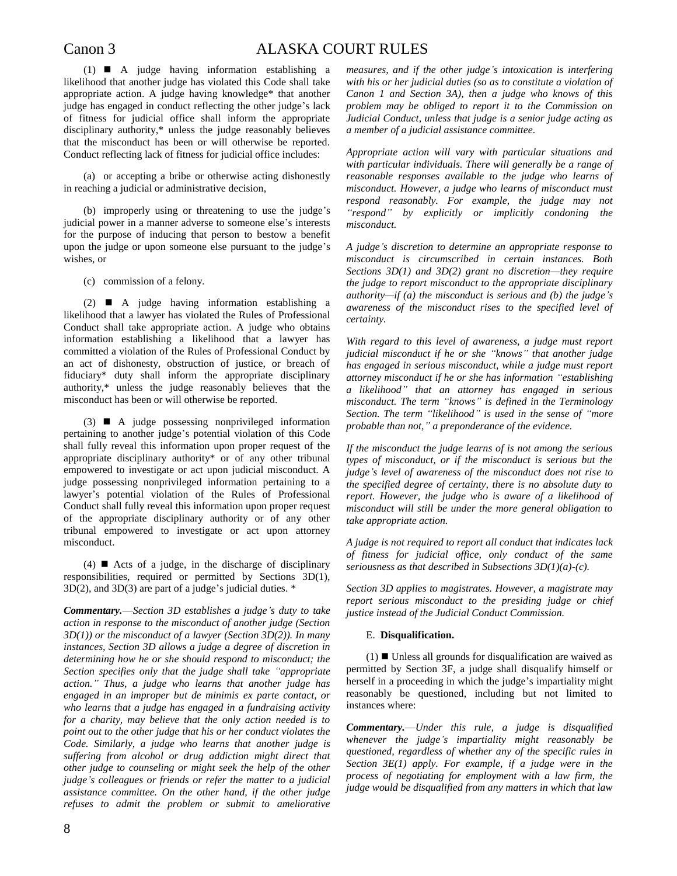## Canon 3 ALASKA COURT RULES

(1)  $\blacksquare$  A judge having information establishing a likelihood that another judge has violated this Code shall take appropriate action. A judge having knowledge\* that another judge has engaged in conduct reflecting the other judge's lack of fitness for judicial office shall inform the appropriate disciplinary authority,\* unless the judge reasonably believes that the misconduct has been or will otherwise be reported. Conduct reflecting lack of fitness for judicial office includes:

(a) or accepting a bribe or otherwise acting dishonestly in reaching a judicial or administrative decision,

(b) improperly using or threatening to use the judge's judicial power in a manner adverse to someone else's interests for the purpose of inducing that person to bestow a benefit upon the judge or upon someone else pursuant to the judge's wishes, or

(c) commission of a felony.

(2)  $\blacksquare$  A judge having information establishing a likelihood that a lawyer has violated the Rules of Professional Conduct shall take appropriate action. A judge who obtains information establishing a likelihood that a lawyer has committed a violation of the Rules of Professional Conduct by an act of dishonesty, obstruction of justice, or breach of fiduciary\* duty shall inform the appropriate disciplinary authority,\* unless the judge reasonably believes that the misconduct has been or will otherwise be reported.

(3)  $\blacksquare$  A judge possessing nonprivileged information pertaining to another judge's potential violation of this Code shall fully reveal this information upon proper request of the appropriate disciplinary authority\* or of any other tribunal empowered to investigate or act upon judicial misconduct. A judge possessing nonprivileged information pertaining to a lawyer's potential violation of the Rules of Professional Conduct shall fully reveal this information upon proper request of the appropriate disciplinary authority or of any other tribunal empowered to investigate or act upon attorney misconduct.

(4)  $\blacksquare$  Acts of a judge, in the discharge of disciplinary responsibilities, required or permitted by Sections 3D(1), 3D(2), and 3D(3) are part of a judge's judicial duties. \*

*Commentary.*—*Section 3D establishes a judge's duty to take action in response to the misconduct of another judge (Section 3D(1)) or the misconduct of a lawyer (Section 3D(2)). In many instances, Section 3D allows a judge a degree of discretion in determining how he or she should respond to misconduct; the Section specifies only that the judge shall take "appropriate action." Thus, a judge who learns that another judge has engaged in an improper but de minimis ex parte contact, or who learns that a judge has engaged in a fundraising activity for a charity, may believe that the only action needed is to point out to the other judge that his or her conduct violates the Code. Similarly, a judge who learns that another judge is suffering from alcohol or drug addiction might direct that other judge to counseling or might seek the help of the other judge's colleagues or friends or refer the matter to a judicial assistance committee. On the other hand, if the other judge refuses to admit the problem or submit to ameliorative* 

*measures, and if the other judge's intoxication is interfering with his or her judicial duties (so as to constitute a violation of Canon 1 and Section 3A), then a judge who knows of this problem may be obliged to report it to the Commission on Judicial Conduct, unless that judge is a senior judge acting as a member of a judicial assistance committee.*

*Appropriate action will vary with particular situations and with particular individuals. There will generally be a range of reasonable responses available to the judge who learns of misconduct. However, a judge who learns of misconduct must respond reasonably. For example, the judge may not "respond" by explicitly or implicitly condoning the misconduct.*

*A judge's discretion to determine an appropriate response to misconduct is circumscribed in certain instances. Both Sections 3D(1) and 3D(2) grant no discretion—they require the judge to report misconduct to the appropriate disciplinary authority—if (a) the misconduct is serious and (b) the judge's awareness of the misconduct rises to the specified level of certainty.*

*With regard to this level of awareness, a judge must report judicial misconduct if he or she "knows" that another judge has engaged in serious misconduct, while a judge must report attorney misconduct if he or she has information "establishing a likelihood" that an attorney has engaged in serious misconduct. The term "knows" is defined in the Terminology Section. The term "likelihood" is used in the sense of "more probable than not," a preponderance of the evidence.*

*If the misconduct the judge learns of is not among the serious types of misconduct, or if the misconduct is serious but the judge's level of awareness of the misconduct does not rise to the specified degree of certainty, there is no absolute duty to report. However, the judge who is aware of a likelihood of misconduct will still be under the more general obligation to take appropriate action.*

*A judge is not required to report all conduct that indicates lack of fitness for judicial office, only conduct of the same seriousness as that described in Subsections 3D(1)(a)-(c).*

*Section 3D applies to magistrates. However, a magistrate may report serious misconduct to the presiding judge or chief justice instead of the Judicial Conduct Commission.* 

#### E. **Disqualification.**

 $(1)$  Unless all grounds for disqualification are waived as permitted by Section 3F, a judge shall disqualify himself or herself in a proceeding in which the judge's impartiality might reasonably be questioned, including but not limited to instances where:

*Commentary.*—*Under this rule, a judge is disqualified whenever the judge's impartiality might reasonably be questioned, regardless of whether any of the specific rules in Section 3E(1) apply. For example, if a judge were in the process of negotiating for employment with a law firm, the judge would be disqualified from any matters in which that law*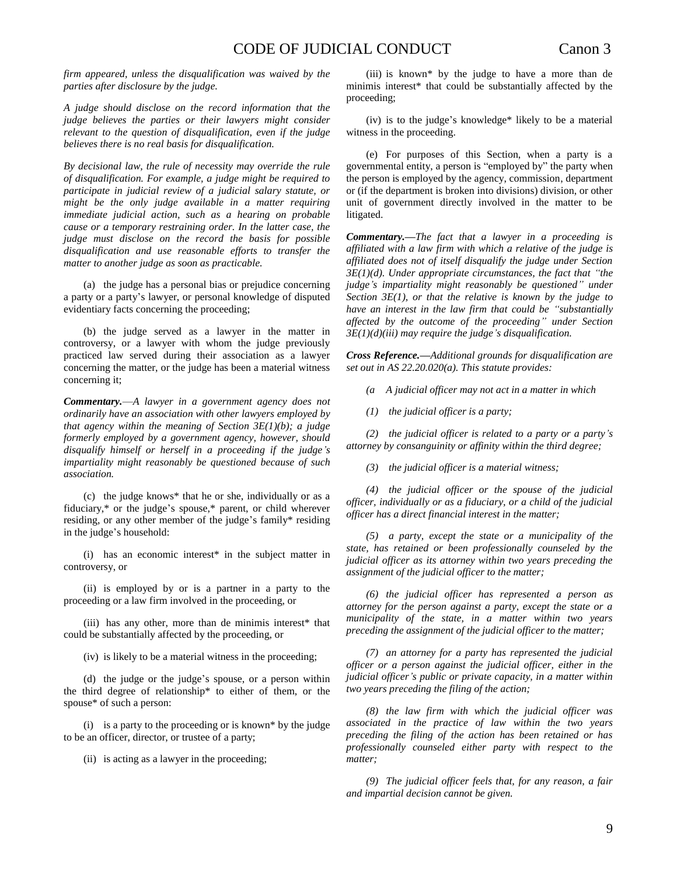*firm appeared, unless the disqualification was waived by the parties after disclosure by the judge.*

*A judge should disclose on the record information that the judge believes the parties or their lawyers might consider relevant to the question of disqualification, even if the judge believes there is no real basis for disqualification.*

*By decisional law, the rule of necessity may override the rule of disqualification. For example, a judge might be required to participate in judicial review of a judicial salary statute, or might be the only judge available in a matter requiring immediate judicial action, such as a hearing on probable cause or a temporary restraining order. In the latter case, the judge must disclose on the record the basis for possible disqualification and use reasonable efforts to transfer the matter to another judge as soon as practicable.* 

(a) the judge has a personal bias or prejudice concerning a party or a party's lawyer, or personal knowledge of disputed evidentiary facts concerning the proceeding;

(b) the judge served as a lawyer in the matter in controversy, or a lawyer with whom the judge previously practiced law served during their association as a lawyer concerning the matter, or the judge has been a material witness concerning it;

*Commentary.*—*A lawyer in a government agency does not ordinarily have an association with other lawyers employed by that agency within the meaning of Section 3E(1)(b); a judge formerly employed by a government agency, however, should disqualify himself or herself in a proceeding if the judge's impartiality might reasonably be questioned because of such association.* 

(c) the judge knows\* that he or she, individually or as a fiduciary,\* or the judge's spouse,\* parent, or child wherever residing, or any other member of the judge's family\* residing in the judge's household:

(i) has an economic interest\* in the subject matter in controversy, or

(ii) is employed by or is a partner in a party to the proceeding or a law firm involved in the proceeding, or

(iii) has any other, more than de minimis interest\* that could be substantially affected by the proceeding, or

(iv) is likely to be a material witness in the proceeding;

(d) the judge or the judge's spouse, or a person within the third degree of relationship\* to either of them, or the spouse\* of such a person:

(i) is a party to the proceeding or is known\* by the judge to be an officer, director, or trustee of a party;

(ii) is acting as a lawyer in the proceeding;

(iii) is known\* by the judge to have a more than de minimis interest\* that could be substantially affected by the proceeding;

(iv) is to the judge's knowledge\* likely to be a material witness in the proceeding.

(e) For purposes of this Section, when a party is a governmental entity, a person is "employed by" the party when the person is employed by the agency, commission, department or (if the department is broken into divisions) division, or other unit of government directly involved in the matter to be litigated.

*Commentary.—The fact that a lawyer in a proceeding is affiliated with a law firm with which a relative of the judge is affiliated does not of itself disqualify the judge under Section 3E(1)(d). Under appropriate circumstances, the fact that "the judge's impartiality might reasonably be questioned" under Section 3E(1), or that the relative is known by the judge to have an interest in the law firm that could be "substantially affected by the outcome of the proceeding" under Section 3E(1)(d)(iii) may require the judge's disqualification.* 

*Cross Reference.—Additional grounds for disqualification are set out in AS 22.20.020(a). This statute provides:*

*(a A judicial officer may not act in a matter in which*

*(1) the judicial officer is a party;*

*(2) the judicial officer is related to a party or a party's attorney by consanguinity or affinity within the third degree;*

*(3) the judicial officer is a material witness;*

*(4) the judicial officer or the spouse of the judicial officer, individually or as a fiduciary, or a child of the judicial officer has a direct financial interest in the matter;*

*(5) a party, except the state or a municipality of the state, has retained or been professionally counseled by the judicial officer as its attorney within two years preceding the assignment of the judicial officer to the matter;*

*(6) the judicial officer has represented a person as attorney for the person against a party, except the state or a municipality of the state, in a matter within two years preceding the assignment of the judicial officer to the matter;*

*(7) an attorney for a party has represented the judicial officer or a person against the judicial officer, either in the judicial officer's public or private capacity, in a matter within two years preceding the filing of the action;*

*(8) the law firm with which the judicial officer was associated in the practice of law within the two years preceding the filing of the action has been retained or has professionally counseled either party with respect to the matter;*

*(9) The judicial officer feels that, for any reason, a fair and impartial decision cannot be given.*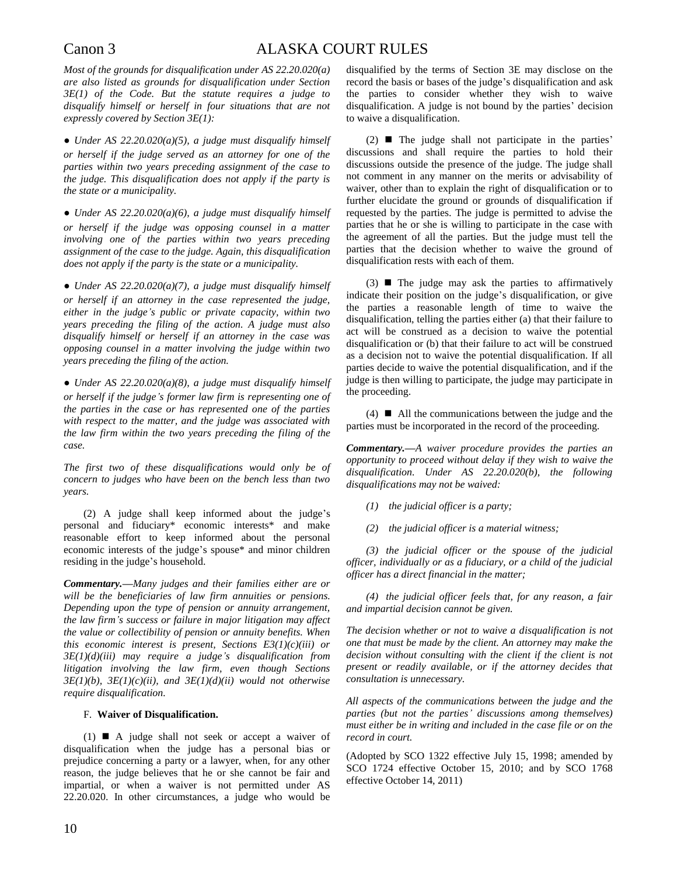## Canon 3 ALASKA COURT RULES

*Most of the grounds for disqualification under AS 22.20.020(a) are also listed as grounds for disqualification under Section 3E(1) of the Code. But the statute requires a judge to disqualify himself or herself in four situations that are not expressly covered by Section 3E(1):*

*● Under AS 22.20.020(a)(5), a judge must disqualify himself or herself if the judge served as an attorney for one of the parties within two years preceding assignment of the case to the judge. This disqualification does not apply if the party is the state or a municipality.*

*● Under AS 22.20.020(a)(6), a judge must disqualify himself or herself if the judge was opposing counsel in a matter involving one of the parties within two years preceding assignment of the case to the judge. Again, this disqualification does not apply if the party is the state or a municipality.*

*● Under AS 22.20.020(a)(7), a judge must disqualify himself or herself if an attorney in the case represented the judge, either in the judge's public or private capacity, within two years preceding the filing of the action. A judge must also disqualify himself or herself if an attorney in the case was opposing counsel in a matter involving the judge within two years preceding the filing of the action.*

*● Under AS 22.20.020(a)(8), a judge must disqualify himself or herself if the judge's former law firm is representing one of the parties in the case or has represented one of the parties with respect to the matter, and the judge was associated with the law firm within the two years preceding the filing of the case.*

*The first two of these disqualifications would only be of concern to judges who have been on the bench less than two years.*

(2) A judge shall keep informed about the judge's personal and fiduciary\* economic interests\* and make reasonable effort to keep informed about the personal economic interests of the judge's spouse\* and minor children residing in the judge's household.

*Commentary.—Many judges and their families either are or will be the beneficiaries of law firm annuities or pensions. Depending upon the type of pension or annuity arrangement, the law firm's success or failure in major litigation may affect the value or collectibility of pension or annuity benefits. When this economic interest is present, Sections E3(1)(c)(iii) or 3E(1)(d)(iii) may require a judge's disqualification from litigation involving the law firm, even though Sections 3E(1)(b), 3E(1)(c)(ii), and 3E(1)(d)(ii) would not otherwise require disqualification.* 

#### F. **Waiver of Disqualification.**

(1)  $\blacksquare$  A judge shall not seek or accept a waiver of disqualification when the judge has a personal bias or prejudice concerning a party or a lawyer, when, for any other reason, the judge believes that he or she cannot be fair and impartial, or when a waiver is not permitted under AS 22.20.020. In other circumstances, a judge who would be

disqualified by the terms of Section 3E may disclose on the record the basis or bases of the judge's disqualification and ask the parties to consider whether they wish to waive disqualification. A judge is not bound by the parties' decision to waive a disqualification.

(2)  $\blacksquare$  The judge shall not participate in the parties' discussions and shall require the parties to hold their discussions outside the presence of the judge. The judge shall not comment in any manner on the merits or advisability of waiver, other than to explain the right of disqualification or to further elucidate the ground or grounds of disqualification if requested by the parties. The judge is permitted to advise the parties that he or she is willing to participate in the case with the agreement of all the parties. But the judge must tell the parties that the decision whether to waive the ground of disqualification rests with each of them.

(3)  $\blacksquare$  The judge may ask the parties to affirmatively indicate their position on the judge's disqualification, or give the parties a reasonable length of time to waive the disqualification, telling the parties either (a) that their failure to act will be construed as a decision to waive the potential disqualification or (b) that their failure to act will be construed as a decision not to waive the potential disqualification. If all parties decide to waive the potential disqualification, and if the judge is then willing to participate, the judge may participate in the proceeding.

(4)  $\blacksquare$  All the communications between the judge and the parties must be incorporated in the record of the proceeding.

*Commentary.—A waiver procedure provides the parties an opportunity to proceed without delay if they wish to waive the disqualification. Under AS 22.20.020(b), the following disqualifications may not be waived:*

*(1) the judicial officer is a party;*

*(2) the judicial officer is a material witness;*

*(3) the judicial officer or the spouse of the judicial officer, individually or as a fiduciary, or a child of the judicial officer has a direct financial in the matter;*

*(4) the judicial officer feels that, for any reason, a fair and impartial decision cannot be given.*

*The decision whether or not to waive a disqualification is not one that must be made by the client. An attorney may make the decision without consulting with the client if the client is not present or readily available, or if the attorney decides that consultation is unnecessary.*

*All aspects of the communications between the judge and the parties (but not the parties' discussions among themselves) must either be in writing and included in the case file or on the record in court.* 

(Adopted by SCO 1322 effective July 15, 1998; amended by SCO 1724 effective October 15, 2010; and by SCO 1768 effective October 14, 2011)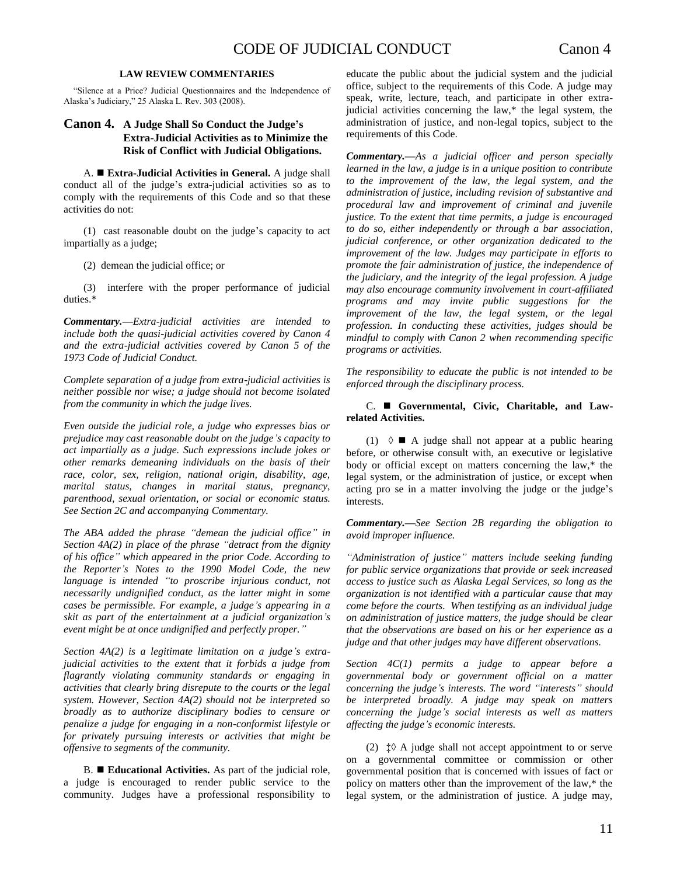#### **LAW REVIEW COMMENTARIES**

"Silence at a Price? Judicial Questionnaires and the Independence of Alaska's Judiciary," 25 Alaska L. Rev. 303 (2008).

#### <span id="page-10-0"></span>**Canon 4. A Judge Shall So Conduct the Judge's Extra-Judicial Activities as to Minimize the Risk of Conflict with Judicial Obligations.**

A. **Extra-Judicial Activities in General.** A judge shall conduct all of the judge's extra-judicial activities so as to comply with the requirements of this Code and so that these activities do not:

(1) cast reasonable doubt on the judge's capacity to act impartially as a judge;

(2) demean the judicial office; or

(3) interfere with the proper performance of judicial duties.\*

*Commentary.—Extra-judicial activities are intended to include both the quasi-judicial activities covered by Canon 4 and the extra-judicial activities covered by Canon 5 of the 1973 Code of Judicial Conduct.*

*Complete separation of a judge from extra-judicial activities is neither possible nor wise; a judge should not become isolated from the community in which the judge lives.*

*Even outside the judicial role, a judge who expresses bias or prejudice may cast reasonable doubt on the judge's capacity to act impartially as a judge. Such expressions include jokes or other remarks demeaning individuals on the basis of their race, color, sex, religion, national origin, disability, age, marital status, changes in marital status, pregnancy, parenthood, sexual orientation, or social or economic status. See Section 2C and accompanying Commentary.* 

*The ABA added the phrase "demean the judicial office" in Section 4A(2) in place of the phrase "detract from the dignity of his office" which appeared in the prior Code. According to the Reporter's Notes to the 1990 Model Code, the new language is intended "to proscribe injurious conduct, not necessarily undignified conduct, as the latter might in some cases be permissible. For example, a judge's appearing in a skit as part of the entertainment at a judicial organization's event might be at once undignified and perfectly proper."*

*Section 4A(2) is a legitimate limitation on a judge's extrajudicial activities to the extent that it forbids a judge from flagrantly violating community standards or engaging in activities that clearly bring disrepute to the courts or the legal system. However, Section 4A(2) should not be interpreted so broadly as to authorize disciplinary bodies to censure or penalize a judge for engaging in a non-conformist lifestyle or for privately pursuing interests or activities that might be offensive to segments of the community.* 

B. **Educational Activities.** As part of the judicial role, a judge is encouraged to render public service to the community. Judges have a professional responsibility to

educate the public about the judicial system and the judicial office, subject to the requirements of this Code. A judge may speak, write, lecture, teach, and participate in other extrajudicial activities concerning the law,\* the legal system, the administration of justice, and non-legal topics, subject to the requirements of this Code.

*Commentary.—As a judicial officer and person specially learned in the law, a judge is in a unique position to contribute to the improvement of the law, the legal system, and the administration of justice, including revision of substantive and procedural law and improvement of criminal and juvenile justice. To the extent that time permits, a judge is encouraged to do so, either independently or through a bar association, judicial conference, or other organization dedicated to the improvement of the law. Judges may participate in efforts to promote the fair administration of justice, the independence of the judiciary, and the integrity of the legal profession. A judge may also encourage community involvement in court-affiliated programs and may invite public suggestions for the improvement of the law, the legal system, or the legal profession. In conducting these activities, judges should be mindful to comply with Canon 2 when recommending specific programs or activities.*

*The responsibility to educate the public is not intended to be enforced through the disciplinary process.*

#### C. **Governmental, Civic, Charitable, and Lawrelated Activities.**

(1)  $\Diamond$   $\Box$  A judge shall not appear at a public hearing before, or otherwise consult with, an executive or legislative body or official except on matters concerning the law,\* the legal system, or the administration of justice, or except when acting pro se in a matter involving the judge or the judge's interests.

*Commentary.—See Section 2B regarding the obligation to avoid improper influence.*

*"Administration of justice" matters include seeking funding for public service organizations that provide or seek increased access to justice such as Alaska Legal Services, so long as the organization is not identified with a particular cause that may come before the courts. When testifying as an individual judge on administration of justice matters, the judge should be clear that the observations are based on his or her experience as a judge and that other judges may have different observations.* 

*Section 4C(1) permits a judge to appear before a governmental body or government official on a matter concerning the judge's interests. The word "interests" should be interpreted broadly. A judge may speak on matters concerning the judge's social interests as well as matters affecting the judge's economic interests.* 

(2)  $\sharp \Diamond A$  judge shall not accept appointment to or serve on a governmental committee or commission or other governmental position that is concerned with issues of fact or policy on matters other than the improvement of the law,\* the legal system, or the administration of justice. A judge may,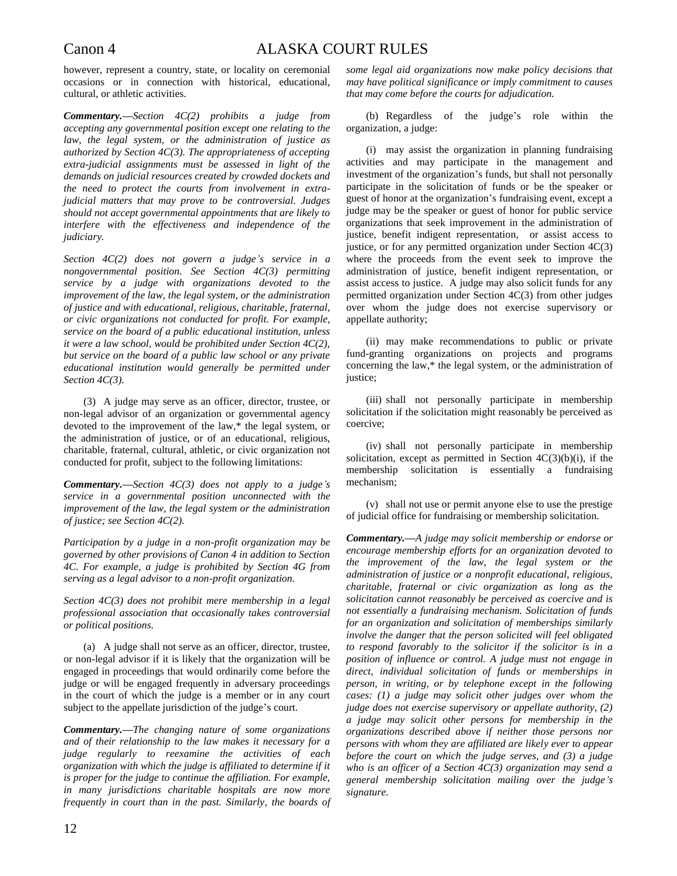however, represent a country, state, or locality on ceremonial occasions or in connection with historical, educational, cultural, or athletic activities.

*Commentary.—Section 4C(2) prohibits a judge from accepting any governmental position except one relating to the law, the legal system, or the administration of justice as authorized by Section 4C(3). The appropriateness of accepting extra-judicial assignments must be assessed in light of the demands on judicial resources created by crowded dockets and the need to protect the courts from involvement in extrajudicial matters that may prove to be controversial. Judges should not accept governmental appointments that are likely to interfere with the effectiveness and independence of the judiciary.*

*Section 4C(2) does not govern a judge's service in a nongovernmental position. See Section 4C(3) permitting service by a judge with organizations devoted to the improvement of the law, the legal system, or the administration of justice and with educational, religious, charitable, fraternal, or civic organizations not conducted for profit. For example, service on the board of a public educational institution, unless it were a law school, would be prohibited under Section 4C(2), but service on the board of a public law school or any private educational institution would generally be permitted under Section 4C(3).* 

(3) A judge may serve as an officer, director, trustee, or non-legal advisor of an organization or governmental agency devoted to the improvement of the law,\* the legal system, or the administration of justice, or of an educational, religious, charitable, fraternal, cultural, athletic, or civic organization not conducted for profit, subject to the following limitations:

*Commentary.—Section 4C(3) does not apply to a judge's service in a governmental position unconnected with the improvement of the law, the legal system or the administration of justice; see Section 4C(2).*

*Participation by a judge in a non-profit organization may be governed by other provisions of Canon 4 in addition to Section 4C. For example, a judge is prohibited by Section 4G from serving as a legal advisor to a non-profit organization.*

*Section 4C(3) does not prohibit mere membership in a legal professional association that occasionally takes controversial or political positions.* 

(a) A judge shall not serve as an officer, director, trustee, or non-legal advisor if it is likely that the organization will be engaged in proceedings that would ordinarily come before the judge or will be engaged frequently in adversary proceedings in the court of which the judge is a member or in any court subject to the appellate jurisdiction of the judge's court.

*Commentary.—The changing nature of some organizations and of their relationship to the law makes it necessary for a judge regularly to reexamine the activities of each organization with which the judge is affiliated to determine if it is proper for the judge to continue the affiliation. For example, in many jurisdictions charitable hospitals are now more frequently in court than in the past. Similarly, the boards of*  *some legal aid organizations now make policy decisions that may have political significance or imply commitment to causes that may come before the courts for adjudication.* 

(b) Regardless of the judge's role within the organization, a judge:

(i) may assist the organization in planning fundraising activities and may participate in the management and investment of the organization's funds, but shall not personally participate in the solicitation of funds or be the speaker or guest of honor at the organization's fundraising event, except a judge may be the speaker or guest of honor for public service organizations that seek improvement in the administration of justice, benefit indigent representation, or assist access to justice, or for any permitted organization under Section  $4C(3)$ where the proceeds from the event seek to improve the administration of justice, benefit indigent representation, or assist access to justice. A judge may also solicit funds for any permitted organization under Section 4C(3) from other judges over whom the judge does not exercise supervisory or appellate authority;

(ii) may make recommendations to public or private fund-granting organizations on projects and programs concerning the law,\* the legal system, or the administration of justice;

(iii) shall not personally participate in membership solicitation if the solicitation might reasonably be perceived as coercive;

(iv) shall not personally participate in membership solicitation, except as permitted in Section  $4C(3)(b)(i)$ , if the membership solicitation is essentially a fundraising mechanism;

(v) shall not use or permit anyone else to use the prestige of judicial office for fundraising or membership solicitation.

*Commentary.—A judge may solicit membership or endorse or encourage membership efforts for an organization devoted to the improvement of the law, the legal system or the administration of justice or a nonprofit educational, religious, charitable, fraternal or civic organization as long as the solicitation cannot reasonably be perceived as coercive and is not essentially a fundraising mechanism. Solicitation of funds for an organization and solicitation of memberships similarly involve the danger that the person solicited will feel obligated to respond favorably to the solicitor if the solicitor is in a position of influence or control. A judge must not engage in direct, individual solicitation of funds or memberships in person, in writing, or by telephone except in the following cases: (1) a judge may solicit other judges over whom the judge does not exercise supervisory or appellate authority, (2) a judge may solicit other persons for membership in the organizations described above if neither those persons nor persons with whom they are affiliated are likely ever to appear before the court on which the judge serves, and (3) a judge who is an officer of a Section 4C(3) organization may send a general membership solicitation mailing over the judge's signature.*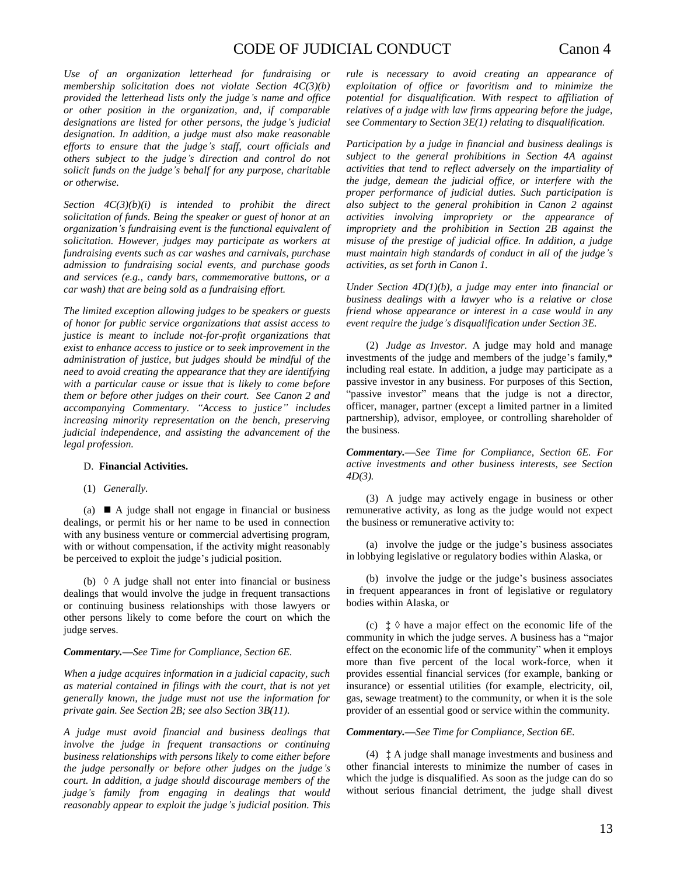*Use of an organization letterhead for fundraising or membership solicitation does not violate Section 4C(3)(b) provided the letterhead lists only the judge's name and office or other position in the organization, and, if comparable designations are listed for other persons, the judge's judicial designation. In addition, a judge must also make reasonable efforts to ensure that the judge's staff, court officials and others subject to the judge's direction and control do not solicit funds on the judge's behalf for any purpose, charitable or otherwise.*

*Section 4C(3)(b)(i) is intended to prohibit the direct solicitation of funds. Being the speaker or guest of honor at an organization's fundraising event is the functional equivalent of solicitation. However, judges may participate as workers at fundraising events such as car washes and carnivals, purchase admission to fundraising social events, and purchase goods and services (e.g., candy bars, commemorative buttons, or a car wash) that are being sold as a fundraising effort.*

*The limited exception allowing judges to be speakers or guests of honor for public service organizations that assist access to justice is meant to include not-for-profit organizations that exist to enhance access to justice or to seek improvement in the administration of justice, but judges should be mindful of the need to avoid creating the appearance that they are identifying with a particular cause or issue that is likely to come before them or before other judges on their court. See Canon 2 and accompanying Commentary. "Access to justice" includes increasing minority representation on the bench, preserving judicial independence, and assisting the advancement of the legal profession.* 

#### D. **Financial Activities.**

#### (1) *Generally.*

(a)  $\blacksquare$  A judge shall not engage in financial or business dealings, or permit his or her name to be used in connection with any business venture or commercial advertising program, with or without compensation, if the activity might reasonably be perceived to exploit the judge's judicial position.

(b)  $\Diamond$  A judge shall not enter into financial or business dealings that would involve the judge in frequent transactions or continuing business relationships with those lawyers or other persons likely to come before the court on which the judge serves.

#### *Commentary.—See Time for Compliance, Section 6E.*

*When a judge acquires information in a judicial capacity, such as material contained in filings with the court, that is not yet generally known, the judge must not use the information for private gain. See Section 2B; see also Section 3B(11).*

*A judge must avoid financial and business dealings that involve the judge in frequent transactions or continuing business relationships with persons likely to come either before the judge personally or before other judges on the judge's court. In addition, a judge should discourage members of the judge's family from engaging in dealings that would reasonably appear to exploit the judge's judicial position. This* 

*rule is necessary to avoid creating an appearance of exploitation of office or favoritism and to minimize the potential for disqualification. With respect to affiliation of relatives of a judge with law firms appearing before the judge, see Commentary to Section 3E(1) relating to disqualification.*

*Participation by a judge in financial and business dealings is subject to the general prohibitions in Section 4A against activities that tend to reflect adversely on the impartiality of the judge, demean the judicial office, or interfere with the proper performance of judicial duties. Such participation is also subject to the general prohibition in Canon 2 against activities involving impropriety or the appearance of impropriety and the prohibition in Section 2B against the misuse of the prestige of judicial office. In addition, a judge must maintain high standards of conduct in all of the judge's activities, as set forth in Canon 1.*

*Under Section 4D(1)(b), a judge may enter into financial or business dealings with a lawyer who is a relative or close friend whose appearance or interest in a case would in any event require the judge's disqualification under Section 3E.* 

(2) *Judge as Investor.* A judge may hold and manage investments of the judge and members of the judge's family,\* including real estate. In addition, a judge may participate as a passive investor in any business. For purposes of this Section, "passive investor" means that the judge is not a director, officer, manager, partner (except a limited partner in a limited partnership), advisor, employee, or controlling shareholder of the business.

*Commentary.—See Time for Compliance, Section 6E. For active investments and other business interests, see Section 4D(3).* 

(3) A judge may actively engage in business or other remunerative activity, as long as the judge would not expect the business or remunerative activity to:

(a) involve the judge or the judge's business associates in lobbying legislative or regulatory bodies within Alaska, or

(b) involve the judge or the judge's business associates in frequent appearances in front of legislative or regulatory bodies within Alaska, or

(c)  $\uparrow \Diamond$  have a major effect on the economic life of the community in which the judge serves. A business has a "major effect on the economic life of the community" when it employs more than five percent of the local work-force, when it provides essential financial services (for example, banking or insurance) or essential utilities (for example, electricity, oil, gas, sewage treatment) to the community, or when it is the sole provider of an essential good or service within the community.

#### *Commentary.—See Time for Compliance, Section 6E.*

(4) ‡ A judge shall manage investments and business and other financial interests to minimize the number of cases in which the judge is disqualified. As soon as the judge can do so without serious financial detriment, the judge shall divest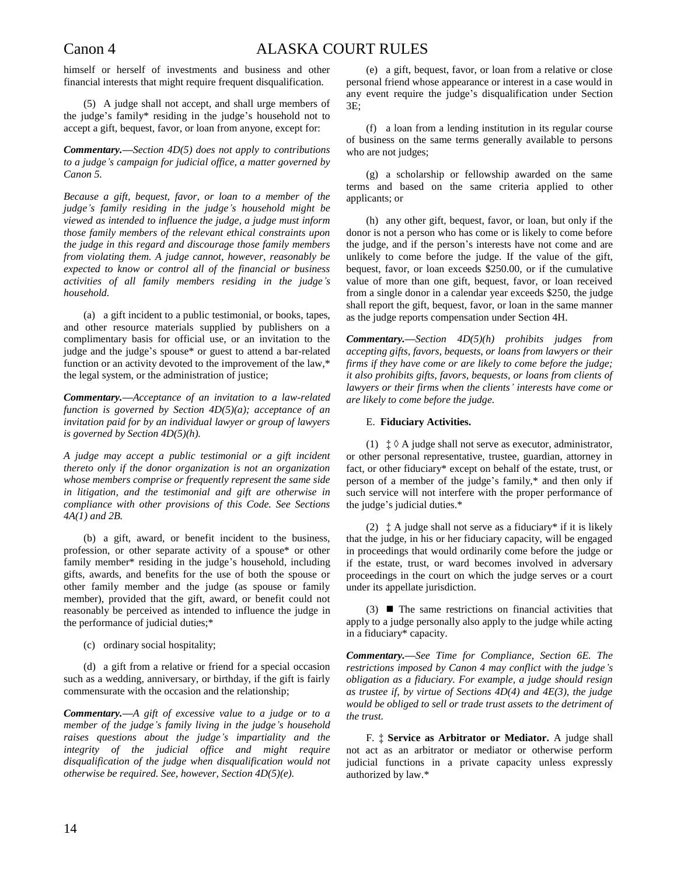himself or herself of investments and business and other financial interests that might require frequent disqualification.

(5) A judge shall not accept, and shall urge members of the judge's family\* residing in the judge's household not to accept a gift, bequest, favor, or loan from anyone, except for:

*Commentary.—Section 4D(5) does not apply to contributions to a judge's campaign for judicial office, a matter governed by Canon 5.*

*Because a gift, bequest, favor, or loan to a member of the judge's family residing in the judge's household might be viewed as intended to influence the judge, a judge must inform those family members of the relevant ethical constraints upon the judge in this regard and discourage those family members from violating them. A judge cannot, however, reasonably be expected to know or control all of the financial or business activities of all family members residing in the judge's household.* 

(a) a gift incident to a public testimonial, or books, tapes, and other resource materials supplied by publishers on a complimentary basis for official use, or an invitation to the judge and the judge's spouse\* or guest to attend a bar-related function or an activity devoted to the improvement of the law,\* the legal system, or the administration of justice;

*Commentary.—Acceptance of an invitation to a law-related function is governed by Section 4D(5)(a); acceptance of an invitation paid for by an individual lawyer or group of lawyers is governed by Section 4D(5)(h).*

*A judge may accept a public testimonial or a gift incident thereto only if the donor organization is not an organization whose members comprise or frequently represent the same side in litigation, and the testimonial and gift are otherwise in compliance with other provisions of this Code. See Sections 4A(1) and 2B.* 

(b) a gift, award, or benefit incident to the business, profession, or other separate activity of a spouse\* or other family member\* residing in the judge's household, including gifts, awards, and benefits for the use of both the spouse or other family member and the judge (as spouse or family member), provided that the gift, award, or benefit could not reasonably be perceived as intended to influence the judge in the performance of judicial duties;\*

(c) ordinary social hospitality;

(d) a gift from a relative or friend for a special occasion such as a wedding, anniversary, or birthday, if the gift is fairly commensurate with the occasion and the relationship;

*Commentary.—A gift of excessive value to a judge or to a member of the judge's family living in the judge's household raises questions about the judge's impartiality and the integrity of the judicial office and might require disqualification of the judge when disqualification would not otherwise be required. See, however, Section 4D(5)(e).* 

(e) a gift, bequest, favor, or loan from a relative or close personal friend whose appearance or interest in a case would in any event require the judge's disqualification under Section 3E;

(f) a loan from a lending institution in its regular course of business on the same terms generally available to persons who are not judges;

(g) a scholarship or fellowship awarded on the same terms and based on the same criteria applied to other applicants; or

(h) any other gift, bequest, favor, or loan, but only if the donor is not a person who has come or is likely to come before the judge, and if the person's interests have not come and are unlikely to come before the judge. If the value of the gift, bequest, favor, or loan exceeds \$250.00, or if the cumulative value of more than one gift, bequest, favor, or loan received from a single donor in a calendar year exceeds \$250, the judge shall report the gift, bequest, favor, or loan in the same manner as the judge reports compensation under Section 4H.

*Commentary.—Section 4D(5)(h) prohibits judges from accepting gifts, favors, bequests, or loans from lawyers or their firms if they have come or are likely to come before the judge; it also prohibits gifts, favors, bequests, or loans from clients of lawyers or their firms when the clients' interests have come or are likely to come before the judge.* 

#### E. **Fiduciary Activities.**

(1)  $\sharp \Diamond A$  judge shall not serve as executor, administrator, or other personal representative, trustee, guardian, attorney in fact, or other fiduciary\* except on behalf of the estate, trust, or person of a member of the judge's family,\* and then only if such service will not interfere with the proper performance of the judge's judicial duties.\*

(2)  $\ddagger$  A judge shall not serve as a fiduciary\* if it is likely that the judge, in his or her fiduciary capacity, will be engaged in proceedings that would ordinarily come before the judge or if the estate, trust, or ward becomes involved in adversary proceedings in the court on which the judge serves or a court under its appellate jurisdiction.

(3)  $\blacksquare$  The same restrictions on financial activities that apply to a judge personally also apply to the judge while acting in a fiduciary\* capacity.

*Commentary.—See Time for Compliance, Section 6E. The restrictions imposed by Canon 4 may conflict with the judge's obligation as a fiduciary. For example, a judge should resign as trustee if, by virtue of Sections 4D(4) and 4E(3), the judge would be obliged to sell or trade trust assets to the detriment of the trust.* 

F. ‡ **Service as Arbitrator or Mediator.** A judge shall not act as an arbitrator or mediator or otherwise perform judicial functions in a private capacity unless expressly authorized by law.\*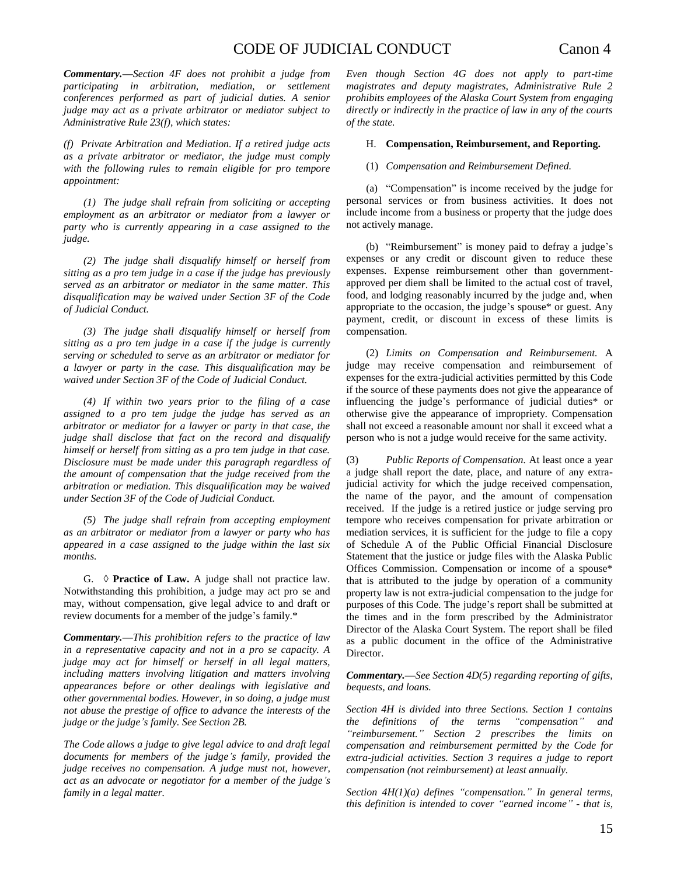*Commentary.—Section 4F does not prohibit a judge from participating in arbitration, mediation, or settlement conferences performed as part of judicial duties. A senior judge may act as a private arbitrator or mediator subject to Administrative Rule 23(f), which states:*

*(f) Private Arbitration and Mediation. If a retired judge acts as a private arbitrator or mediator, the judge must comply with the following rules to remain eligible for pro tempore appointment:*

*(1) The judge shall refrain from soliciting or accepting employment as an arbitrator or mediator from a lawyer or party who is currently appearing in a case assigned to the judge.*

*(2) The judge shall disqualify himself or herself from sitting as a pro tem judge in a case if the judge has previously served as an arbitrator or mediator in the same matter. This disqualification may be waived under Section 3F of the Code of Judicial Conduct.*

*(3) The judge shall disqualify himself or herself from sitting as a pro tem judge in a case if the judge is currently serving or scheduled to serve as an arbitrator or mediator for a lawyer or party in the case. This disqualification may be waived under Section 3F of the Code of Judicial Conduct.*

*(4) If within two years prior to the filing of a case assigned to a pro tem judge the judge has served as an arbitrator or mediator for a lawyer or party in that case, the judge shall disclose that fact on the record and disqualify himself or herself from sitting as a pro tem judge in that case. Disclosure must be made under this paragraph regardless of the amount of compensation that the judge received from the arbitration or mediation. This disqualification may be waived under Section 3F of the Code of Judicial Conduct.*

*(5) The judge shall refrain from accepting employment as an arbitrator or mediator from a lawyer or party who has appeared in a case assigned to the judge within the last six months.* 

G. **Practice of Law.** A judge shall not practice law. Notwithstanding this prohibition, a judge may act pro se and may, without compensation, give legal advice to and draft or review documents for a member of the judge's family.\*

*Commentary.—This prohibition refers to the practice of law in a representative capacity and not in a pro se capacity. A judge may act for himself or herself in all legal matters, including matters involving litigation and matters involving appearances before or other dealings with legislative and other governmental bodies. However, in so doing, a judge must not abuse the prestige of office to advance the interests of the judge or the judge's family. See Section 2B.*

*The Code allows a judge to give legal advice to and draft legal documents for members of the judge's family, provided the judge receives no compensation. A judge must not, however, act as an advocate or negotiator for a member of the judge's family in a legal matter.*

*Even though Section 4G does not apply to part-time magistrates and deputy magistrates, Administrative Rule 2 prohibits employees of the Alaska Court System from engaging directly or indirectly in the practice of law in any of the courts of the state.* 

#### H. **Compensation, Reimbursement, and Reporting.**

#### (1) *Compensation and Reimbursement Defined.*

(a) "Compensation" is income received by the judge for personal services or from business activities. It does not include income from a business or property that the judge does not actively manage.

(b) "Reimbursement" is money paid to defray a judge's expenses or any credit or discount given to reduce these expenses. Expense reimbursement other than governmentapproved per diem shall be limited to the actual cost of travel, food, and lodging reasonably incurred by the judge and, when appropriate to the occasion, the judge's spouse\* or guest. Any payment, credit, or discount in excess of these limits is compensation.

(2) *Limits on Compensation and Reimbursement.* A judge may receive compensation and reimbursement of expenses for the extra-judicial activities permitted by this Code if the source of these payments does not give the appearance of influencing the judge's performance of judicial duties\* or otherwise give the appearance of impropriety. Compensation shall not exceed a reasonable amount nor shall it exceed what a person who is not a judge would receive for the same activity.

(3) *Public Reports of Compensation.* At least once a year a judge shall report the date, place, and nature of any extrajudicial activity for which the judge received compensation, the name of the payor, and the amount of compensation received. If the judge is a retired justice or judge serving pro tempore who receives compensation for private arbitration or mediation services, it is sufficient for the judge to file a copy of Schedule A of the Public Official Financial Disclosure Statement that the justice or judge files with the Alaska Public Offices Commission. Compensation or income of a spouse\* that is attributed to the judge by operation of a community property law is not extra-judicial compensation to the judge for purposes of this Code. The judge's report shall be submitted at the times and in the form prescribed by the Administrator Director of the Alaska Court System. The report shall be filed as a public document in the office of the Administrative Director.

*Commentary.—See Section 4D(5) regarding reporting of gifts, bequests, and loans.*

*Section 4H is divided into three Sections. Section 1 contains the definitions of the terms "compensation" and "reimbursement." Section 2 prescribes the limits on compensation and reimbursement permitted by the Code for extra-judicial activities. Section 3 requires a judge to report compensation (not reimbursement) at least annually.*

*Section 4H(1)(a) defines "compensation." In general terms, this definition is intended to cover "earned income" - that is,*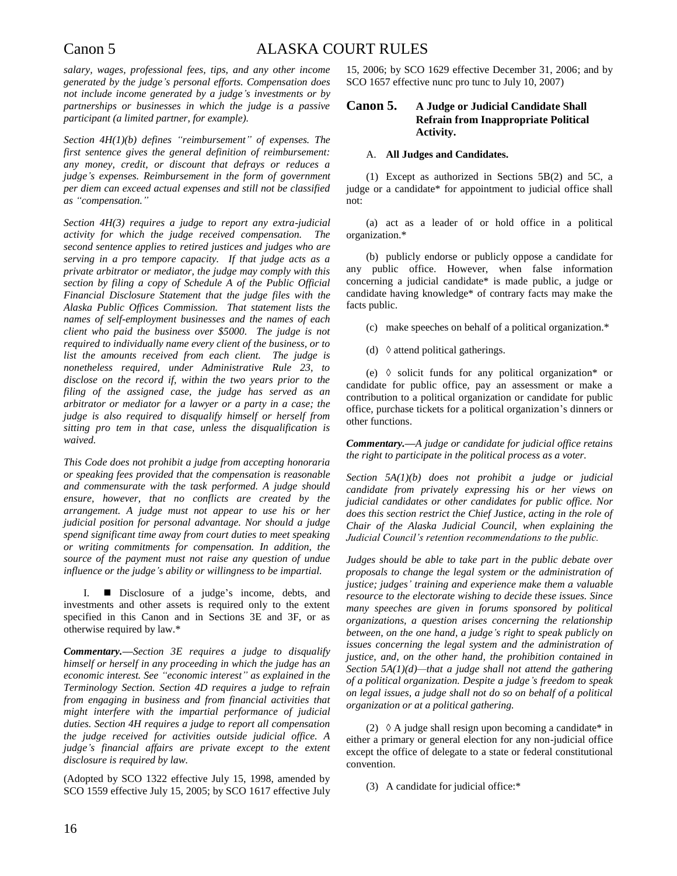*salary, wages, professional fees, tips, and any other income generated by the judge's personal efforts. Compensation does not include income generated by a judge's investments or by partnerships or businesses in which the judge is a passive participant (a limited partner, for example).*

*Section 4H(1)(b) defines "reimbursement" of expenses. The first sentence gives the general definition of reimbursement: any money, credit, or discount that defrays or reduces a judge's expenses. Reimbursement in the form of government per diem can exceed actual expenses and still not be classified as "compensation."*

*Section 4H(3) requires a judge to report any extra-judicial activity for which the judge received compensation. The second sentence applies to retired justices and judges who are serving in a pro tempore capacity. If that judge acts as a private arbitrator or mediator, the judge may comply with this section by filing a copy of Schedule A of the Public Official Financial Disclosure Statement that the judge files with the Alaska Public Offices Commission. That statement lists the names of self-employment businesses and the names of each client who paid the business over \$5000. The judge is not required to individually name every client of the business, or to list the amounts received from each client. The judge is nonetheless required, under Administrative Rule 23, to disclose on the record if, within the two years prior to the filing of the assigned case, the judge has served as an arbitrator or mediator for a lawyer or a party in a case; the judge is also required to disqualify himself or herself from sitting pro tem in that case, unless the disqualification is waived.*

*This Code does not prohibit a judge from accepting honoraria or speaking fees provided that the compensation is reasonable and commensurate with the task performed. A judge should ensure, however, that no conflicts are created by the arrangement. A judge must not appear to use his or her judicial position for personal advantage. Nor should a judge spend significant time away from court duties to meet speaking or writing commitments for compensation. In addition, the source of the payment must not raise any question of undue influence or the judge's ability or willingness to be impartial.* 

I. Disclosure of a judge's income, debts, and investments and other assets is required only to the extent specified in this Canon and in Sections 3E and 3F, or as otherwise required by law.\*

*Commentary.—Section 3E requires a judge to disqualify himself or herself in any proceeding in which the judge has an economic interest. See "economic interest" as explained in the Terminology Section. Section 4D requires a judge to refrain from engaging in business and from financial activities that might interfere with the impartial performance of judicial duties. Section 4H requires a judge to report all compensation the judge received for activities outside judicial office. A judge's financial affairs are private except to the extent disclosure is required by law.*

(Adopted by SCO 1322 effective July 15, 1998, amended by SCO 1559 effective July 15, 2005; by SCO 1617 effective July

15, 2006; by SCO 1629 effective December 31, 2006; and by SCO 1657 effective nunc pro tunc to July 10, 2007)

#### <span id="page-15-0"></span>**Canon 5. A Judge or Judicial Candidate Shall Refrain from Inappropriate Political Activity.**

#### A. **All Judges and Candidates.**

(1) Except as authorized in Sections 5B(2) and 5C, a judge or a candidate\* for appointment to judicial office shall not:

(a) act as a leader of or hold office in a political organization.\*

(b) publicly endorse or publicly oppose a candidate for any public office. However, when false information concerning a judicial candidate\* is made public, a judge or candidate having knowledge\* of contrary facts may make the facts public.

(c) make speeches on behalf of a political organization.\*

(d)  $\Diamond$  attend political gatherings.

(e)  $\Diamond$  solicit funds for any political organization\* or candidate for public office, pay an assessment or make a contribution to a political organization or candidate for public office, purchase tickets for a political organization's dinners or other functions.

*Commentary.—A judge or candidate for judicial office retains the right to participate in the political process as a voter.*

*Section 5A(1)(b) does not prohibit a judge or judicial candidate from privately expressing his or her views on judicial candidates or other candidates for public office. Nor does this section restrict the Chief Justice, acting in the role of Chair of the Alaska Judicial Council, when explaining the Judicial Council's retention recommendations to the public.*

*Judges should be able to take part in the public debate over proposals to change the legal system or the administration of justice; judges' training and experience make them a valuable resource to the electorate wishing to decide these issues. Since many speeches are given in forums sponsored by political organizations, a question arises concerning the relationship between, on the one hand, a judge's right to speak publicly on issues concerning the legal system and the administration of justice, and, on the other hand, the prohibition contained in Section 5A(1)(d)—that a judge shall not attend the gathering of a political organization. Despite a judge's freedom to speak on legal issues, a judge shall not do so on behalf of a political organization or at a political gathering.* 

(2)  $\Diamond$  A judge shall resign upon becoming a candidate\* in either a primary or general election for any non-judicial office except the office of delegate to a state or federal constitutional convention.

(3) A candidate for judicial office:\*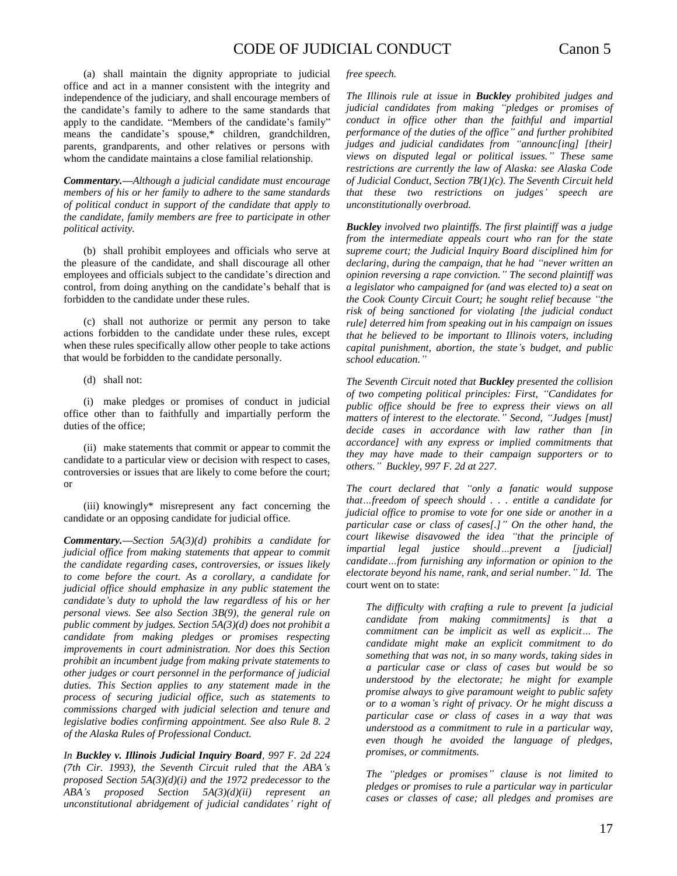*free speech.*

(a) shall maintain the dignity appropriate to judicial office and act in a manner consistent with the integrity and independence of the judiciary, and shall encourage members of the candidate's family to adhere to the same standards that apply to the candidate. "Members of the candidate's family" means the candidate's spouse,\* children, grandchildren, parents, grandparents, and other relatives or persons with whom the candidate maintains a close familial relationship.

*Commentary.—Although a judicial candidate must encourage members of his or her family to adhere to the same standards of political conduct in support of the candidate that apply to the candidate, family members are free to participate in other political activity.* 

(b) shall prohibit employees and officials who serve at the pleasure of the candidate, and shall discourage all other employees and officials subject to the candidate's direction and control, from doing anything on the candidate's behalf that is forbidden to the candidate under these rules.

(c) shall not authorize or permit any person to take actions forbidden to the candidate under these rules, except when these rules specifically allow other people to take actions that would be forbidden to the candidate personally.

(d) shall not:

(i) make pledges or promises of conduct in judicial office other than to faithfully and impartially perform the duties of the office;

(ii) make statements that commit or appear to commit the candidate to a particular view or decision with respect to cases, controversies or issues that are likely to come before the court; or

(iii) knowingly\* misrepresent any fact concerning the candidate or an opposing candidate for judicial office.

*Commentary.—Section 5A(3)(d) prohibits a candidate for judicial office from making statements that appear to commit the candidate regarding cases, controversies, or issues likely to come before the court. As a corollary, a candidate for judicial office should emphasize in any public statement the candidate's duty to uphold the law regardless of his or her personal views. See also Section 3B(9), the general rule on public comment by judges. Section 5A(3)(d) does not prohibit a candidate from making pledges or promises respecting improvements in court administration. Nor does this Section prohibit an incumbent judge from making private statements to other judges or court personnel in the performance of judicial duties. This Section applies to any statement made in the process of securing judicial office, such as statements to commissions charged with judicial selection and tenure and legislative bodies confirming appointment. See also Rule 8. 2 of the Alaska Rules of Professional Conduct.*

*In Buckley v. Illinois Judicial Inquiry Board, 997 F. 2d 224 (7th Cir. 1993), the Seventh Circuit ruled that the ABA's proposed Section 5A(3)(d)(i) and the 1972 predecessor to the ABA's proposed Section 5A(3)(d)(ii) represent an unconstitutional abridgement of judicial candidates' right of* 

*The Illinois rule at issue in Buckley prohibited judges and judicial candidates from making "pledges or promises of conduct in office other than the faithful and impartial performance of the duties of the office" and further prohibited judges and judicial candidates from "announc[ing] [their] views on disputed legal or political issues." These same restrictions are currently the law of Alaska: see Alaska Code of Judicial Conduct, Section 7B(1)(c). The Seventh Circuit held that these two restrictions on judges' speech are unconstitutionally overbroad.*

*Buckley involved two plaintiffs. The first plaintiff was a judge from the intermediate appeals court who ran for the state supreme court; the Judicial Inquiry Board disciplined him for declaring, during the campaign, that he had "never written an opinion reversing a rape conviction." The second plaintiff was a legislator who campaigned for (and was elected to) a seat on the Cook County Circuit Court; he sought relief because "the risk of being sanctioned for violating [the judicial conduct rule] deterred him from speaking out in his campaign on issues that he believed to be important to Illinois voters, including capital punishment, abortion, the state's budget, and public school education."*

*The Seventh Circuit noted that Buckley presented the collision of two competing political principles: First, "Candidates for public office should be free to express their views on all matters of interest to the electorate." Second, "Judges [must] decide cases in accordance with law rather than [in accordance] with any express or implied commitments that they may have made to their campaign supporters or to others." Buckley, 997 F. 2d at 227.*

*The court declared that "only a fanatic would suppose that…freedom of speech should . . . entitle a candidate for judicial office to promise to vote for one side or another in a particular case or class of cases[.]" On the other hand, the court likewise disavowed the idea "that the principle of impartial legal justice should…prevent a [judicial] candidate…from furnishing any information or opinion to the electorate beyond his name, rank, and serial number." Id.* The court went on to state:

*The difficulty with crafting a rule to prevent [a judicial candidate from making commitments] is that a commitment can be implicit as well as explicit… The candidate might make an explicit commitment to do something that was not, in so many words, taking sides in a particular case or class of cases but would be so understood by the electorate; he might for example promise always to give paramount weight to public safety or to a woman's right of privacy. Or he might discuss a particular case or class of cases in a way that was understood as a commitment to rule in a particular way, even though he avoided the language of pledges, promises, or commitments.* 

*The "pledges or promises" clause is not limited to pledges or promises to rule a particular way in particular cases or classes of case; all pledges and promises are*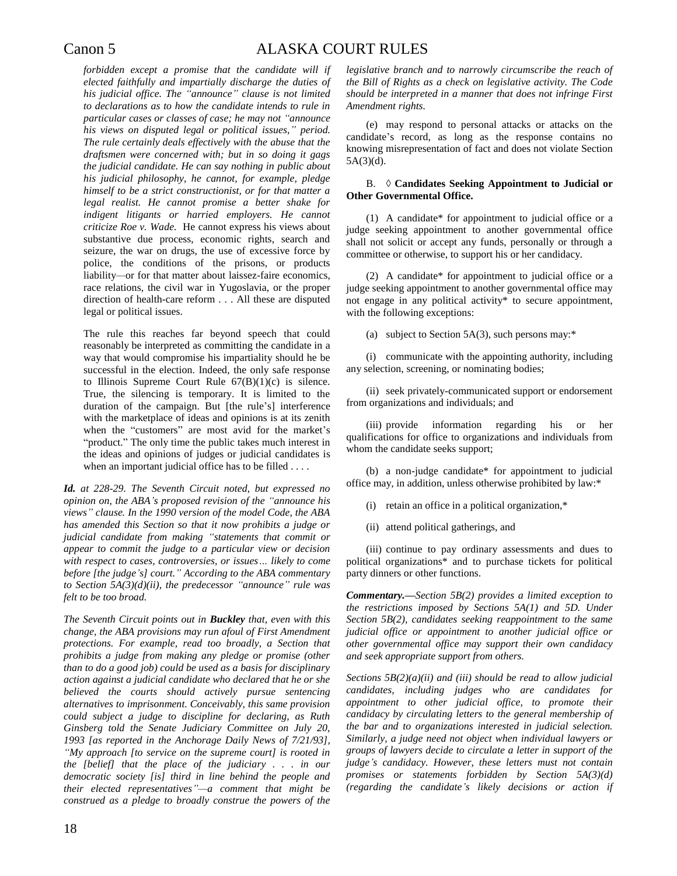## Canon 5 ALASKA COURT RULES

*forbidden except a promise that the candidate will if elected faithfully and impartially discharge the duties of his judicial office. The "announce" clause is not limited to declarations as to how the candidate intends to rule in particular cases or classes of case; he may not "announce his views on disputed legal or political issues," period. The rule certainly deals effectively with the abuse that the draftsmen were concerned with; but in so doing it gags the judicial candidate. He can say nothing in public about his judicial philosophy, he cannot, for example, pledge himself to be a strict constructionist, or for that matter a legal realist. He cannot promise a better shake for indigent litigants or harried employers. He cannot criticize Roe v. Wade.* He cannot express his views about substantive due process, economic rights, search and seizure, the war on drugs, the use of excessive force by police, the conditions of the prisons, or products liability*—*or for that matter about laissez-faire economics, race relations, the civil war in Yugoslavia, or the proper direction of health-care reform . . . All these are disputed legal or political issues.

The rule this reaches far beyond speech that could reasonably be interpreted as committing the candidate in a way that would compromise his impartiality should he be successful in the election. Indeed, the only safe response to Illinois Supreme Court Rule  $67(B)(1)(c)$  is silence. True, the silencing is temporary. It is limited to the duration of the campaign. But [the rule's] interference with the marketplace of ideas and opinions is at its zenith when the "customers" are most avid for the market's "product." The only time the public takes much interest in the ideas and opinions of judges or judicial candidates is when an important judicial office has to be filled ....

*Id. at 228-29. The Seventh Circuit noted, but expressed no opinion on, the ABA's proposed revision of the "announce his views" clause. In the 1990 version of the model Code, the ABA has amended this Section so that it now prohibits a judge or judicial candidate from making "statements that commit or appear to commit the judge to a particular view or decision with respect to cases, controversies, or issues… likely to come before [the judge's] court." According to the ABA commentary to Section 5A(3)(d)(ii), the predecessor "announce" rule was felt to be too broad.*

*The Seventh Circuit points out in Buckley that, even with this change, the ABA provisions may run afoul of First Amendment protections. For example, read too broadly, a Section that prohibits a judge from making any pledge or promise (other than to do a good job) could be used as a basis for disciplinary action against a judicial candidate who declared that he or she believed the courts should actively pursue sentencing alternatives to imprisonment. Conceivably, this same provision could subject a judge to discipline for declaring, as Ruth Ginsberg told the Senate Judiciary Committee on July 20, 1993 [as reported in the Anchorage Daily News of 7/21/93], "My approach [to service on the supreme court] is rooted in the [belief] that the place of the judiciary . . . in our democratic society [is] third in line behind the people and their elected representatives"—a comment that might be construed as a pledge to broadly construe the powers of the* 

*legislative branch and to narrowly circumscribe the reach of the Bill of Rights as a check on legislative activity. The Code should be interpreted in a manner that does not infringe First Amendment rights.* 

(e) may respond to personal attacks or attacks on the candidate's record, as long as the response contains no knowing misrepresentation of fact and does not violate Section  $5A(3)(d)$ .

#### B. **Candidates Seeking Appointment to Judicial or Other Governmental Office.**

(1) A candidate\* for appointment to judicial office or a judge seeking appointment to another governmental office shall not solicit or accept any funds, personally or through a committee or otherwise, to support his or her candidacy.

(2) A candidate\* for appointment to judicial office or a judge seeking appointment to another governmental office may not engage in any political activity\* to secure appointment, with the following exceptions:

(a) subject to Section 5A(3), such persons may:\*

(i) communicate with the appointing authority, including any selection, screening, or nominating bodies;

(ii) seek privately-communicated support or endorsement from organizations and individuals; and

(iii) provide information regarding his or her qualifications for office to organizations and individuals from whom the candidate seeks support;

(b) a non-judge candidate\* for appointment to judicial office may, in addition, unless otherwise prohibited by law:\*

(i) retain an office in a political organization,\*

(ii) attend political gatherings, and

(iii) continue to pay ordinary assessments and dues to political organizations\* and to purchase tickets for political party dinners or other functions.

*Commentary.—Section 5B(2) provides a limited exception to the restrictions imposed by Sections 5A(1) and 5D. Under Section 5B(2), candidates seeking reappointment to the same judicial office or appointment to another judicial office or other governmental office may support their own candidacy and seek appropriate support from others.*

*Sections 5B(2)(a)(ii) and (iii) should be read to allow judicial candidates, including judges who are candidates for appointment to other judicial office, to promote their candidacy by circulating letters to the general membership of the bar and to organizations interested in judicial selection. Similarly, a judge need not object when individual lawyers or groups of lawyers decide to circulate a letter in support of the judge's candidacy. However, these letters must not contain promises or statements forbidden by Section 5A(3)(d) (regarding the candidate's likely decisions or action if*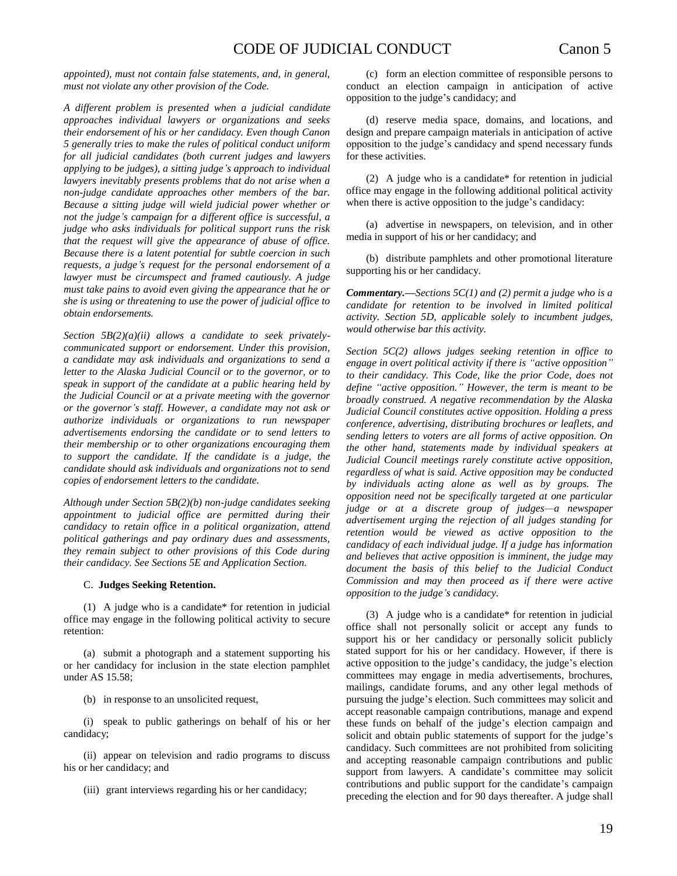*appointed), must not contain false statements, and, in general, must not violate any other provision of the Code.*

*A different problem is presented when a judicial candidate approaches individual lawyers or organizations and seeks their endorsement of his or her candidacy. Even though Canon 5 generally tries to make the rules of political conduct uniform for all judicial candidates (both current judges and lawyers applying to be judges), a sitting judge's approach to individual lawyers inevitably presents problems that do not arise when a non-judge candidate approaches other members of the bar. Because a sitting judge will wield judicial power whether or not the judge's campaign for a different office is successful, a judge who asks individuals for political support runs the risk that the request will give the appearance of abuse of office. Because there is a latent potential for subtle coercion in such requests, a judge's request for the personal endorsement of a lawyer must be circumspect and framed cautiously. A judge must take pains to avoid even giving the appearance that he or she is using or threatening to use the power of judicial office to obtain endorsements.*

*Section 5B(2)(a)(ii) allows a candidate to seek privatelycommunicated support or endorsement. Under this provision, a candidate may ask individuals and organizations to send a letter to the Alaska Judicial Council or to the governor, or to speak in support of the candidate at a public hearing held by the Judicial Council or at a private meeting with the governor or the governor's staff. However, a candidate may not ask or authorize individuals or organizations to run newspaper advertisements endorsing the candidate or to send letters to their membership or to other organizations encouraging them to support the candidate. If the candidate is a judge, the candidate should ask individuals and organizations not to send copies of endorsement letters to the candidate.*

*Although under Section 5B(2)(b) non-judge candidates seeking appointment to judicial office are permitted during their candidacy to retain office in a political organization, attend political gatherings and pay ordinary dues and assessments, they remain subject to other provisions of this Code during their candidacy. See Sections 5E and Application Section.* 

#### C. **Judges Seeking Retention.**

(1) A judge who is a candidate\* for retention in judicial office may engage in the following political activity to secure retention:

(a) submit a photograph and a statement supporting his or her candidacy for inclusion in the state election pamphlet under AS 15.58;

(b) in response to an unsolicited request,

(i) speak to public gatherings on behalf of his or her candidacy;

(ii) appear on television and radio programs to discuss his or her candidacy; and

(iii) grant interviews regarding his or her candidacy;

(c) form an election committee of responsible persons to conduct an election campaign in anticipation of active opposition to the judge's candidacy; and

(d) reserve media space, domains, and locations, and design and prepare campaign materials in anticipation of active opposition to the judge's candidacy and spend necessary funds for these activities.

(2) A judge who is a candidate\* for retention in judicial office may engage in the following additional political activity when there is active opposition to the judge's candidacy:

(a) advertise in newspapers, on television, and in other media in support of his or her candidacy; and

(b) distribute pamphlets and other promotional literature supporting his or her candidacy.

*Commentary.—Sections 5C(1) and (2) permit a judge who is a candidate for retention to be involved in limited political activity. Section 5D, applicable solely to incumbent judges, would otherwise bar this activity.*

*Section 5C(2) allows judges seeking retention in office to engage in overt political activity if there is "active opposition" to their candidacy. This Code, like the prior Code, does not define "active opposition." However, the term is meant to be broadly construed. A negative recommendation by the Alaska Judicial Council constitutes active opposition. Holding a press conference, advertising, distributing brochures or leaflets, and sending letters to voters are all forms of active opposition. On the other hand, statements made by individual speakers at Judicial Council meetings rarely constitute active opposition, regardless of what is said. Active opposition may be conducted by individuals acting alone as well as by groups. The opposition need not be specifically targeted at one particular judge or at a discrete group of judges—a newspaper advertisement urging the rejection of all judges standing for retention would be viewed as active opposition to the candidacy of each individual judge. If a judge has information and believes that active opposition is imminent, the judge may document the basis of this belief to the Judicial Conduct Commission and may then proceed as if there were active opposition to the judge's candidacy.* 

(3) A judge who is a candidate\* for retention in judicial office shall not personally solicit or accept any funds to support his or her candidacy or personally solicit publicly stated support for his or her candidacy. However, if there is active opposition to the judge's candidacy, the judge's election committees may engage in media advertisements, brochures, mailings, candidate forums, and any other legal methods of pursuing the judge's election. Such committees may solicit and accept reasonable campaign contributions, manage and expend these funds on behalf of the judge's election campaign and solicit and obtain public statements of support for the judge's candidacy. Such committees are not prohibited from soliciting and accepting reasonable campaign contributions and public support from lawyers. A candidate's committee may solicit contributions and public support for the candidate's campaign preceding the election and for 90 days thereafter. A judge shall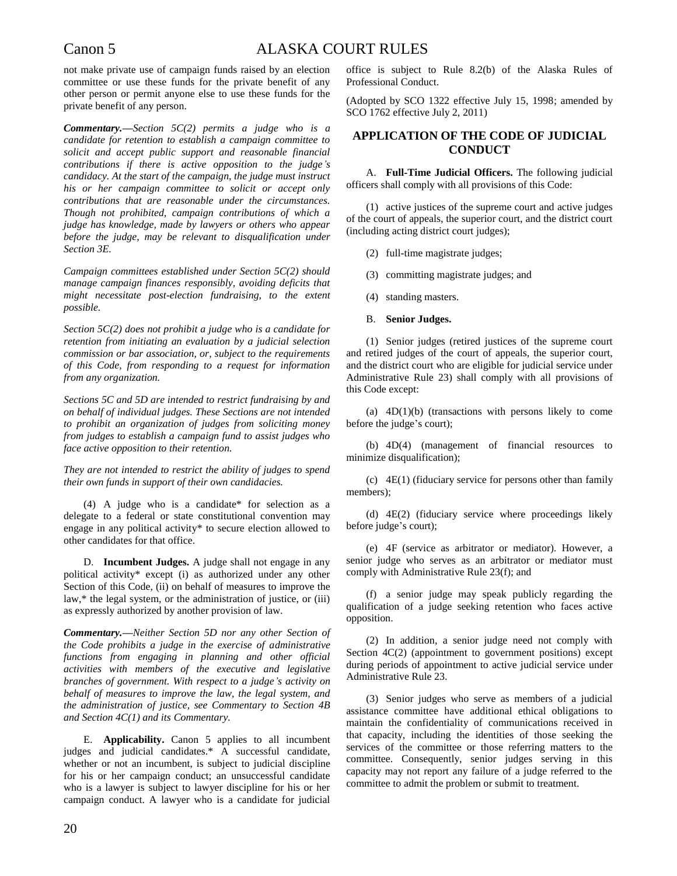not make private use of campaign funds raised by an election committee or use these funds for the private benefit of any other person or permit anyone else to use these funds for the private benefit of any person.

*Commentary.—Section 5C(2) permits a judge who is a candidate for retention to establish a campaign committee to solicit and accept public support and reasonable financial contributions if there is active opposition to the judge's candidacy. At the start of the campaign, the judge must instruct his or her campaign committee to solicit or accept only contributions that are reasonable under the circumstances. Though not prohibited, campaign contributions of which a judge has knowledge, made by lawyers or others who appear before the judge, may be relevant to disqualification under Section 3E.*

*Campaign committees established under Section 5C(2) should manage campaign finances responsibly, avoiding deficits that might necessitate post-election fundraising, to the extent possible.*

*Section 5C(2) does not prohibit a judge who is a candidate for retention from initiating an evaluation by a judicial selection commission or bar association, or, subject to the requirements of this Code, from responding to a request for information from any organization.* 

*Sections 5C and 5D are intended to restrict fundraising by and on behalf of individual judges. These Sections are not intended to prohibit an organization of judges from soliciting money from judges to establish a campaign fund to assist judges who face active opposition to their retention.* 

*They are not intended to restrict the ability of judges to spend their own funds in support of their own candidacies.*

(4) A judge who is a candidate\* for selection as a delegate to a federal or state constitutional convention may engage in any political activity\* to secure election allowed to other candidates for that office.

D. **Incumbent Judges.** A judge shall not engage in any political activity\* except (i) as authorized under any other Section of this Code, (ii) on behalf of measures to improve the law,<sup>\*</sup> the legal system, or the administration of justice, or (iii) as expressly authorized by another provision of law.

*Commentary.—Neither Section 5D nor any other Section of the Code prohibits a judge in the exercise of administrative functions from engaging in planning and other official activities with members of the executive and legislative branches of government. With respect to a judge's activity on behalf of measures to improve the law, the legal system, and the administration of justice, see Commentary to Section 4B and Section 4C(1) and its Commentary.* 

E. **Applicability.** Canon 5 applies to all incumbent judges and judicial candidates.\* A successful candidate, whether or not an incumbent, is subject to judicial discipline for his or her campaign conduct; an unsuccessful candidate who is a lawyer is subject to lawyer discipline for his or her campaign conduct. A lawyer who is a candidate for judicial

office is subject to Rule 8.2(b) of the Alaska Rules of Professional Conduct.

(Adopted by SCO 1322 effective July 15, 1998; amended by SCO 1762 effective July 2, 2011)

### <span id="page-19-0"></span>**APPLICATION OF THE CODE OF JUDICIAL CONDUCT**

A. **Full-Time Judicial Officers.** The following judicial officers shall comply with all provisions of this Code:

(1) active justices of the supreme court and active judges of the court of appeals, the superior court, and the district court (including acting district court judges);

(2) full-time magistrate judges;

(3) committing magistrate judges; and

(4) standing masters.

B. **Senior Judges.** 

(1) Senior judges (retired justices of the supreme court and retired judges of the court of appeals, the superior court, and the district court who are eligible for judicial service under Administrative Rule 23) shall comply with all provisions of this Code except:

(a)  $4D(1)(b)$  (transactions with persons likely to come before the judge's court);

(b) 4D(4) (management of financial resources to minimize disqualification);

(c) 4E(1) (fiduciary service for persons other than family members);

(d) 4E(2) (fiduciary service where proceedings likely before judge's court);

(e) 4F (service as arbitrator or mediator). However, a senior judge who serves as an arbitrator or mediator must comply with Administrative Rule 23(f); and

(f) a senior judge may speak publicly regarding the qualification of a judge seeking retention who faces active opposition.

(2) In addition, a senior judge need not comply with Section  $4C(2)$  (appointment to government positions) except during periods of appointment to active judicial service under Administrative Rule 23.

(3) Senior judges who serve as members of a judicial assistance committee have additional ethical obligations to maintain the confidentiality of communications received in that capacity, including the identities of those seeking the services of the committee or those referring matters to the committee. Consequently, senior judges serving in this capacity may not report any failure of a judge referred to the committee to admit the problem or submit to treatment.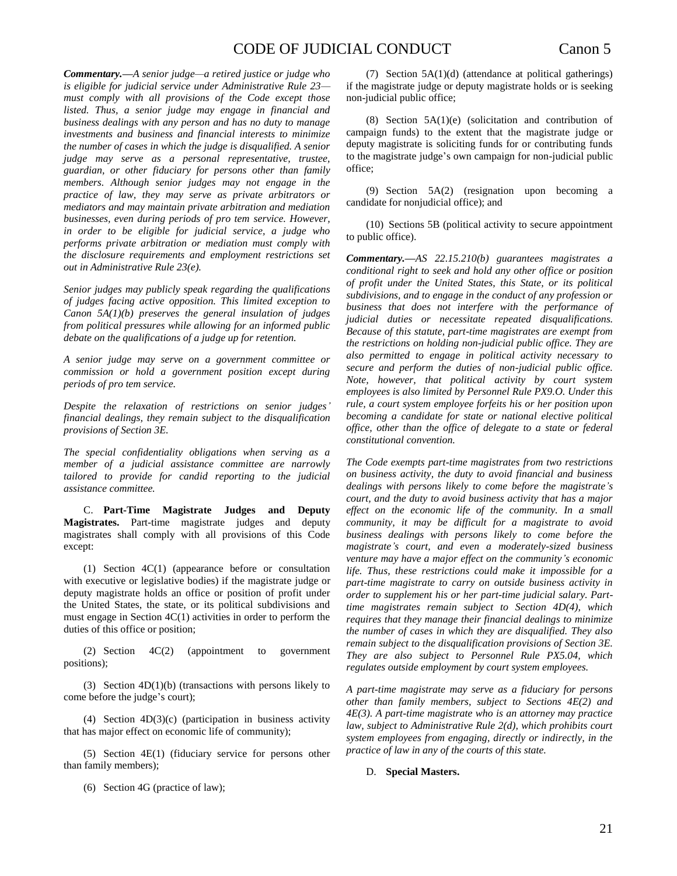*Commentary.—A senior judge—a retired justice or judge who is eligible for judicial service under Administrative Rule 23 must comply with all provisions of the Code except those listed. Thus, a senior judge may engage in financial and business dealings with any person and has no duty to manage investments and business and financial interests to minimize the number of cases in which the judge is disqualified. A senior judge may serve as a personal representative, trustee, guardian, or other fiduciary for persons other than family members. Although senior judges may not engage in the practice of law, they may serve as private arbitrators or mediators and may maintain private arbitration and mediation businesses, even during periods of pro tem service. However, in order to be eligible for judicial service, a judge who performs private arbitration or mediation must comply with the disclosure requirements and employment restrictions set out in Administrative Rule 23(e).* 

*Senior judges may publicly speak regarding the qualifications of judges facing active opposition. This limited exception to Canon 5A(1)(b) preserves the general insulation of judges from political pressures while allowing for an informed public debate on the qualifications of a judge up for retention.*

*A senior judge may serve on a government committee or commission or hold a government position except during periods of pro tem service.*

*Despite the relaxation of restrictions on senior judges' financial dealings, they remain subject to the disqualification provisions of Section 3E.* 

*The special confidentiality obligations when serving as a member of a judicial assistance committee are narrowly tailored to provide for candid reporting to the judicial assistance committee.*

C. **Part-Time Magistrate Judges and Deputy Magistrates.** Part-time magistrate judges and deputy magistrates shall comply with all provisions of this Code except:

(1) Section 4C(1) (appearance before or consultation with executive or legislative bodies) if the magistrate judge or deputy magistrate holds an office or position of profit under the United States, the state, or its political subdivisions and must engage in Section 4C(1) activities in order to perform the duties of this office or position;

(2) Section 4C(2) (appointment to government positions);

(3) Section 4D(1)(b) (transactions with persons likely to come before the judge's court);

(4) Section 4D(3)(c) (participation in business activity that has major effect on economic life of community);

(5) Section 4E(1) (fiduciary service for persons other than family members);

(6) Section 4G (practice of law);

(7) Section 5A(1)(d) (attendance at political gatherings) if the magistrate judge or deputy magistrate holds or is seeking non-judicial public office;

(8) Section 5A(1)(e) (solicitation and contribution of campaign funds) to the extent that the magistrate judge or deputy magistrate is soliciting funds for or contributing funds to the magistrate judge's own campaign for non-judicial public office;

(9) Section 5A(2) (resignation upon becoming a candidate for nonjudicial office); and

(10) Sections 5B (political activity to secure appointment to public office).

*Commentary.—AS 22.15.210(b) guarantees magistrates a conditional right to seek and hold any other office or position of profit under the United States, this State, or its political subdivisions, and to engage in the conduct of any profession or business that does not interfere with the performance of judicial duties or necessitate repeated disqualifications. Because of this statute, part-time magistrates are exempt from the restrictions on holding non-judicial public office. They are also permitted to engage in political activity necessary to secure and perform the duties of non-judicial public office. Note, however, that political activity by court system employees is also limited by Personnel Rule PX9.O. Under this rule, a court system employee forfeits his or her position upon becoming a candidate for state or national elective political office, other than the office of delegate to a state or federal constitutional convention.*

*The Code exempts part-time magistrates from two restrictions on business activity, the duty to avoid financial and business dealings with persons likely to come before the magistrate's court, and the duty to avoid business activity that has a major effect on the economic life of the community. In a small community, it may be difficult for a magistrate to avoid business dealings with persons likely to come before the magistrate's court, and even a moderately-sized business venture may have a major effect on the community's economic life. Thus, these restrictions could make it impossible for a part-time magistrate to carry on outside business activity in order to supplement his or her part-time judicial salary. Parttime magistrates remain subject to Section 4D(4), which requires that they manage their financial dealings to minimize the number of cases in which they are disqualified. They also remain subject to the disqualification provisions of Section 3E. They are also subject to Personnel Rule PX5.04, which regulates outside employment by court system employees.*

*A part-time magistrate may serve as a fiduciary for persons other than family members, subject to Sections 4E(2) and 4E(3). A part-time magistrate who is an attorney may practice law, subject to Administrative Rule 2(d), which prohibits court system employees from engaging, directly or indirectly, in the practice of law in any of the courts of this state.* 

#### D. **Special Masters.**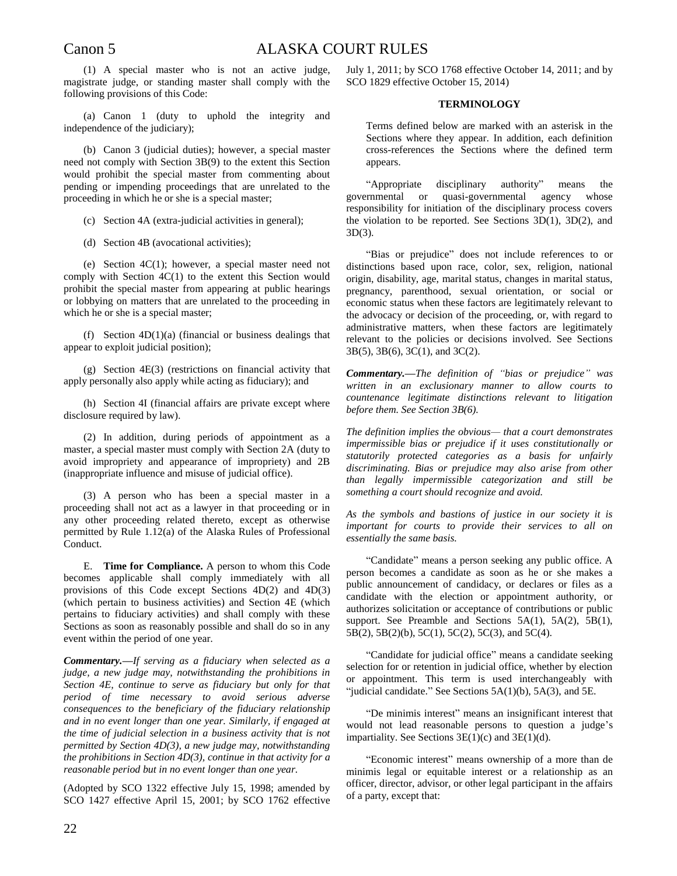(1) A special master who is not an active judge, magistrate judge, or standing master shall comply with the following provisions of this Code:

(a) Canon 1 (duty to uphold the integrity and independence of the judiciary);

(b) Canon 3 (judicial duties); however, a special master need not comply with Section 3B(9) to the extent this Section would prohibit the special master from commenting about pending or impending proceedings that are unrelated to the proceeding in which he or she is a special master;

(c) Section 4A (extra-judicial activities in general);

(d) Section 4B (avocational activities);

(e) Section 4C(1); however, a special master need not comply with Section 4C(1) to the extent this Section would prohibit the special master from appearing at public hearings or lobbying on matters that are unrelated to the proceeding in which he or she is a special master;

(f) Section  $4D(1)(a)$  (financial or business dealings that appear to exploit judicial position);

(g) Section 4E(3) (restrictions on financial activity that apply personally also apply while acting as fiduciary); and

(h) Section 4I (financial affairs are private except where disclosure required by law).

(2) In addition, during periods of appointment as a master, a special master must comply with Section 2A (duty to avoid impropriety and appearance of impropriety) and 2B (inappropriate influence and misuse of judicial office).

(3) A person who has been a special master in a proceeding shall not act as a lawyer in that proceeding or in any other proceeding related thereto, except as otherwise permitted by Rule 1.12(a) of the Alaska Rules of Professional Conduct.

E. **Time for Compliance.** A person to whom this Code becomes applicable shall comply immediately with all provisions of this Code except Sections 4D(2) and 4D(3) (which pertain to business activities) and Section 4E (which pertains to fiduciary activities) and shall comply with these Sections as soon as reasonably possible and shall do so in any event within the period of one year.

*Commentary.—If serving as a fiduciary when selected as a judge, a new judge may, notwithstanding the prohibitions in Section 4E, continue to serve as fiduciary but only for that period of time necessary to avoid serious adverse consequences to the beneficiary of the fiduciary relationship and in no event longer than one year. Similarly, if engaged at the time of judicial selection in a business activity that is not permitted by Section 4D(3), a new judge may, notwithstanding the prohibitions in Section 4D(3), continue in that activity for a reasonable period but in no event longer than one year.* 

(Adopted by SCO 1322 effective July 15, 1998; amended by SCO 1427 effective April 15, 2001; by SCO 1762 effective <span id="page-21-0"></span>July 1, 2011; by SCO 1768 effective October 14, 2011; and by SCO 1829 effective October 15, 2014)

#### **TERMINOLOGY**

Terms defined below are marked with an asterisk in the Sections where they appear. In addition, each definition cross-references the Sections where the defined term appears.

"Appropriate disciplinary authority" means the governmental or quasi-governmental agency whose responsibility for initiation of the disciplinary process covers the violation to be reported. See Sections  $3D(1)$ ,  $3D(2)$ , and 3D(3).

"Bias or prejudice" does not include references to or distinctions based upon race, color, sex, religion, national origin, disability, age, marital status, changes in marital status, pregnancy, parenthood, sexual orientation, or social or economic status when these factors are legitimately relevant to the advocacy or decision of the proceeding, or, with regard to administrative matters, when these factors are legitimately relevant to the policies or decisions involved. See Sections 3B(5), 3B(6), 3C(1), and 3C(2).

*Commentary.—The definition of "bias or prejudice" was written in an exclusionary manner to allow courts to countenance legitimate distinctions relevant to litigation before them. See Section 3B(6).*

*The definition implies the obvious— that a court demonstrates impermissible bias or prejudice if it uses constitutionally or statutorily protected categories as a basis for unfairly discriminating. Bias or prejudice may also arise from other than legally impermissible categorization and still be something a court should recognize and avoid.*

*As the symbols and bastions of justice in our society it is important for courts to provide their services to all on essentially the same basis.* 

"Candidate" means a person seeking any public office. A person becomes a candidate as soon as he or she makes a public announcement of candidacy, or declares or files as a candidate with the election or appointment authority, or authorizes solicitation or acceptance of contributions or public support. See Preamble and Sections  $5A(1)$ ,  $5A(2)$ ,  $5B(1)$ , 5B(2), 5B(2)(b), 5C(1), 5C(2), 5C(3), and 5C(4).

"Candidate for judicial office" means a candidate seeking selection for or retention in judicial office, whether by election or appointment. This term is used interchangeably with "judicial candidate." See Sections  $5A(1)(b)$ ,  $5A(3)$ , and  $5E$ .

"De minimis interest" means an insignificant interest that would not lead reasonable persons to question a judge's impartiality. See Sections  $3E(1)(c)$  and  $3E(1)(d)$ .

"Economic interest" means ownership of a more than de minimis legal or equitable interest or a relationship as an officer, director, advisor, or other legal participant in the affairs of a party, except that: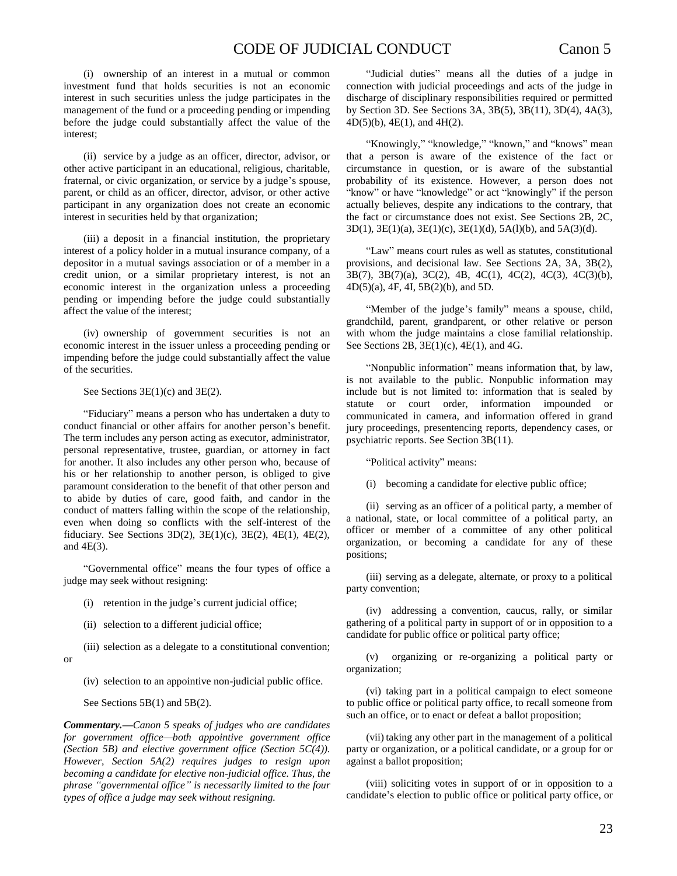## CODE OF JUDICIAL CONDUCT Canon 5

(i) ownership of an interest in a mutual or common investment fund that holds securities is not an economic interest in such securities unless the judge participates in the management of the fund or a proceeding pending or impending before the judge could substantially affect the value of the interest;

(ii) service by a judge as an officer, director, advisor, or other active participant in an educational, religious, charitable, fraternal, or civic organization, or service by a judge's spouse, parent, or child as an officer, director, advisor, or other active participant in any organization does not create an economic interest in securities held by that organization;

(iii) a deposit in a financial institution, the proprietary interest of a policy holder in a mutual insurance company, of a depositor in a mutual savings association or of a member in a credit union, or a similar proprietary interest, is not an economic interest in the organization unless a proceeding pending or impending before the judge could substantially affect the value of the interest;

(iv) ownership of government securities is not an economic interest in the issuer unless a proceeding pending or impending before the judge could substantially affect the value of the securities.

See Sections 3E(1)(c) and 3E(2).

"Fiduciary" means a person who has undertaken a duty to conduct financial or other affairs for another person's benefit. The term includes any person acting as executor, administrator, personal representative, trustee, guardian, or attorney in fact for another. It also includes any other person who, because of his or her relationship to another person, is obliged to give paramount consideration to the benefit of that other person and to abide by duties of care, good faith, and candor in the conduct of matters falling within the scope of the relationship, even when doing so conflicts with the self-interest of the fiduciary. See Sections 3D(2), 3E(1)(c), 3E(2), 4E(1), 4E(2), and 4E(3).

"Governmental office" means the four types of office a judge may seek without resigning:

- (i) retention in the judge's current judicial office;
- (ii) selection to a different judicial office;
- (iii) selection as a delegate to a constitutional convention;
- or

(iv) selection to an appointive non-judicial public office.

See Sections 5B(1) and 5B(2).

*Commentary.—Canon 5 speaks of judges who are candidates for government office—both appointive government office (Section 5B) and elective government office (Section 5C(4)). However, Section 5A(2) requires judges to resign upon becoming a candidate for elective non-judicial office. Thus, the phrase "governmental office" is necessarily limited to the four types of office a judge may seek without resigning.* 

"Judicial duties" means all the duties of a judge in connection with judicial proceedings and acts of the judge in discharge of disciplinary responsibilities required or permitted by Section 3D. See Sections 3A, 3B(5), 3B(11), 3D(4), 4A(3), 4D(5)(b), 4E(1), and 4H(2).

"Knowingly," "knowledge," "known," and "knows" mean that a person is aware of the existence of the fact or circumstance in question, or is aware of the substantial probability of its existence. However, a person does not "know" or have "knowledge" or act "knowingly" if the person actually believes, despite any indications to the contrary, that the fact or circumstance does not exist. See Sections 2B, 2C, 3D(1), 3E(1)(a), 3E(1)(c), 3E(1)(d), 5A(l)(b), and 5A(3)(d).

"Law" means court rules as well as statutes, constitutional provisions, and decisional law. See Sections 2A, 3A, 3B(2), 3B(7), 3B(7)(a), 3C(2), 4B, 4C(1), 4C(2), 4C(3), 4C(3)(b), 4D(5)(a), 4F, 4I, 5B(2)(b), and 5D.

"Member of the judge's family" means a spouse, child, grandchild, parent, grandparent, or other relative or person with whom the judge maintains a close familial relationship. See Sections 2B, 3E(1)(c), 4E(1), and 4G.

"Nonpublic information" means information that, by law, is not available to the public. Nonpublic information may include but is not limited to: information that is sealed by statute or court order, information impounded or communicated in camera, and information offered in grand jury proceedings, presentencing reports, dependency cases, or psychiatric reports. See Section 3B(11).

"Political activity" means:

(i) becoming a candidate for elective public office;

(ii) serving as an officer of a political party, a member of a national, state, or local committee of a political party, an officer or member of a committee of any other political organization, or becoming a candidate for any of these positions;

(iii) serving as a delegate, alternate, or proxy to a political party convention;

(iv) addressing a convention, caucus, rally, or similar gathering of a political party in support of or in opposition to a candidate for public office or political party office;

(v) organizing or re-organizing a political party or organization;

(vi) taking part in a political campaign to elect someone to public office or political party office, to recall someone from such an office, or to enact or defeat a ballot proposition;

(vii) taking any other part in the management of a political party or organization, or a political candidate, or a group for or against a ballot proposition;

(viii) soliciting votes in support of or in opposition to a candidate's election to public office or political party office, or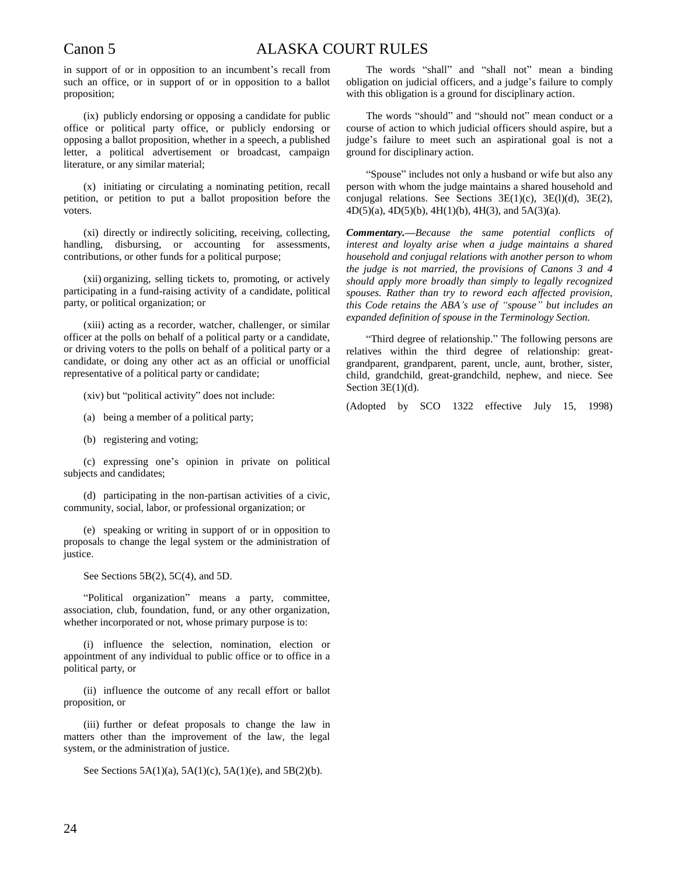in support of or in opposition to an incumbent's recall from such an office, or in support of or in opposition to a ballot proposition;

(ix) publicly endorsing or opposing a candidate for public office or political party office, or publicly endorsing or opposing a ballot proposition, whether in a speech, a published letter, a political advertisement or broadcast, campaign literature, or any similar material;

(x) initiating or circulating a nominating petition, recall petition, or petition to put a ballot proposition before the voters.

(xi) directly or indirectly soliciting, receiving, collecting, handling, disbursing, or accounting for assessments, contributions, or other funds for a political purpose;

(xii) organizing, selling tickets to, promoting, or actively participating in a fund-raising activity of a candidate, political party, or political organization; or

(xiii) acting as a recorder, watcher, challenger, or similar officer at the polls on behalf of a political party or a candidate, or driving voters to the polls on behalf of a political party or a candidate, or doing any other act as an official or unofficial representative of a political party or candidate;

(xiv) but "political activity" does not include:

(a) being a member of a political party;

(b) registering and voting;

(c) expressing one's opinion in private on political subjects and candidates;

(d) participating in the non-partisan activities of a civic, community, social, labor, or professional organization; or

(e) speaking or writing in support of or in opposition to proposals to change the legal system or the administration of justice.

See Sections 5B(2), 5C(4), and 5D.

"Political organization" means a party, committee, association, club, foundation, fund, or any other organization, whether incorporated or not, whose primary purpose is to:

(i) influence the selection, nomination, election or appointment of any individual to public office or to office in a political party, or

(ii) influence the outcome of any recall effort or ballot proposition, or

(iii) further or defeat proposals to change the law in matters other than the improvement of the law, the legal system, or the administration of justice.

See Sections  $5A(1)(a)$ ,  $5A(1)(c)$ ,  $5A(1)(e)$ , and  $5B(2)(b)$ .

The words "shall" and "shall not" mean a binding obligation on judicial officers, and a judge's failure to comply with this obligation is a ground for disciplinary action.

The words "should" and "should not" mean conduct or a course of action to which judicial officers should aspire, but a judge's failure to meet such an aspirational goal is not a ground for disciplinary action.

"Spouse" includes not only a husband or wife but also any person with whom the judge maintains a shared household and conjugal relations. See Sections  $3E(1)(c)$ ,  $3E(1)(d)$ ,  $3E(2)$ ,  $4D(5)(a)$ ,  $4D(5)(b)$ ,  $4H(1)(b)$ ,  $4H(3)$ , and  $5A(3)(a)$ .

*Commentary.—Because the same potential conflicts of interest and loyalty arise when a judge maintains a shared household and conjugal relations with another person to whom the judge is not married, the provisions of Canons 3 and 4 should apply more broadly than simply to legally recognized spouses. Rather than try to reword each affected provision, this Code retains the ABA's use of "spouse" but includes an expanded definition of spouse in the Terminology Section.* 

"Third degree of relationship." The following persons are relatives within the third degree of relationship: greatgrandparent, grandparent, parent, uncle, aunt, brother, sister, child, grandchild, great-grandchild, nephew, and niece. See Section  $3E(1)(d)$ .

(Adopted by SCO 1322 effective July 15, 1998)